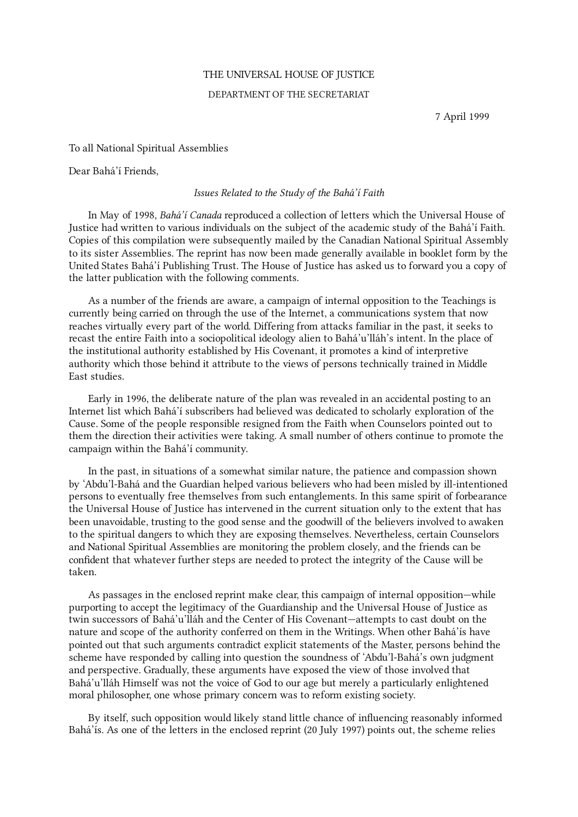# THE UNIVERSAL HOUSE OF JUSTICE

## DEPARTMENT OF THE SECRETARIAT

7 April 1999

To all National Spiritual Assemblies

Dear Bahá'í Friends,

## Issues Related to the Study of the Bahá'í Faith

In May of 1998, Bahá'í Canada reproduced a collection of letters which the Universal House of Justice had written to various individuals on the subject of the academic study of the Bahá'í Faith. Copies of this compilation were subsequently mailed by the Canadian National Spiritual Assembly to its sister Assemblies. The reprint has now been made generally available in booklet form by the United States Bahá'í Publishing Trust. The House of Justice has asked us to forward you a copy of the latter publication with the following comments.

As a number of the friends are aware, a campaign of internal opposition to the Teachings is currently being carried on through the use of the Internet, a communications system that now reaches virtually every part of the world. Differing from attacks familiar in the past, it seeks to recast the entire Faith into a sociopolitical ideology alien to Bahá'u'lláh's intent. In the place of the institutional authority established by His Covenant, it promotes a kind of interpretive authority which those behind it attribute to the views of persons technically trained in Middle East studies.

Early in 1996, the deliberate nature of the plan was revealed in an accidental posting to an Internet list which Bahá'í subscribers had believed was dedicated to scholarly exploration of the Cause. Some of the people responsible resigned from the Faith when Counselors pointed out to them the direction their activities were taking. A small number of others continue to promote the campaign within the Bahá'í community.

In the past, in situations of a somewhat similar nature, the patience and compassion shown by 'Abdu'l-Bahá and the Guardian helped various believers who had been misled by ill-intentioned persons to eventually free themselves from such entanglements. In this same spirit of forbearance the Universal House of Justice has intervened in the current situation only to the extent that has been unavoidable, trusting to the good sense and the goodwill of the believers involved to awaken to the spiritual dangers to which they are exposing themselves. Nevertheless, certain Counselors and National Spiritual Assemblies are monitoring the problem closely, and the friends can be confident that whatever further steps are needed to protect the integrity of the Cause will be taken.

As passages in the enclosed reprint make clear, this campaign of internal opposition—while purporting to accept the legitimacy of the Guardianship and the Universal House of Justice as twin successors of Bahá'u'lláh and the Center of His Covenant—attempts to cast doubt on the nature and scope of the authority conferred on them in the Writings. When other Bahá'ís have pointed out that such arguments contradict explicit statements of the Master, persons behind the scheme have responded by calling into question the soundness of 'Abdu'l-Bahá's own judgment and perspective. Gradually, these arguments have exposed the view of those involved that Bahá'u'lláh Himself was not the voice of God to our age but merely a particularly enlightened moral philosopher, one whose primary concern was to reform existing society.

By itself, such opposition would likely stand little chance of influencing reasonably informed Bahá'ís. As one of the letters in the enclosed reprint (20 July 1997) points out, the scheme relies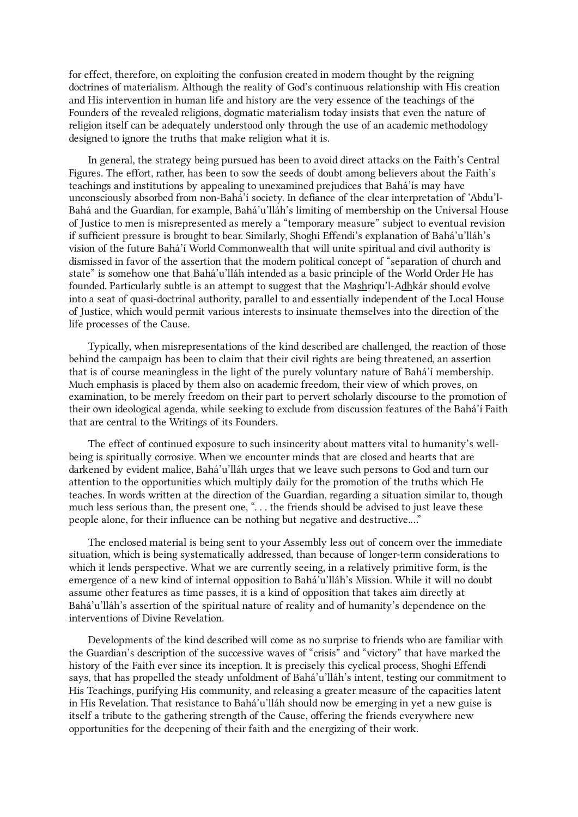for effect, therefore, on exploiting the confusion created in modern thought by the reigning doctrines of materialism. Although the reality of God's continuous relationship with His creation and His intervention in human life and history are the very essence of the teachings of the Founders of the revealed religions, dogmatic materialism today insists that even the nature of religion itself can be adequately understood only through the use of an academic methodology designed to ignore the truths that make religion what it is.

In general, the strategy being pursued has been to avoid direct attacks on the Faith's Central Figures. The effort, rather, has been to sow the seeds of doubt among believers about the Faith's teachings and institutions by appealing to unexamined prejudices that Bahá'ís may have unconsciously absorbed from non-Bahá'í society. In defiance of the clear interpretation of 'Abdu'l-Bahá and the Guardian, for example, Bahá'u'lláh's limiting of membership on the Universal House of Justice to men is misrepresented as merely a "temporary measure" subject to eventual revision if sufficient pressure is brought to bear. Similarly, Shoghi Effendi's explanation of Bahá'u'lláh's vision of the future Bahá'í World Commonwealth that will unite spiritual and civil authority is dismissed in favor of the assertion that the modern political concept of "separation of church and state" is somehow one that Bahá'u'lláh intended as a basic principle of the World Order He has founded. Particularly subtle is an attempt to suggest that the Mashriqu'l-Adhkár should evolve into a seat of quasi-doctrinal authority, parallel to and essentially independent of the Local House of Justice, which would permit various interests to insinuate themselves into the direction of the life processes of the Cause.

Typically, when misrepresentations of the kind described are challenged, the reaction of those behind the campaign has been to claim that their civil rights are being threatened, an assertion that is of course meaningless in the light of the purely voluntary nature of Bahá'í membership. Much emphasis is placed by them also on academic freedom, their view of which proves, on examination, to be merely freedom on their part to pervert scholarly discourse to the promotion of their own ideological agenda, while seeking to exclude from discussion features of the Bahá'í Faith that are central to the Writings of its Founders.

The effect of continued exposure to such insincerity about matters vital to humanity's wellbeing is spiritually corrosive. When we encounter minds that are closed and hearts that are darkened by evident malice, Bahá'u'lláh urges that we leave such persons to God and turn our attention to the opportunities which multiply daily for the promotion of the truths which He teaches. In words written at the direction of the Guardian, regarding a situation similar to, though much less serious than, the present one, "... the friends should be advised to just leave these people alone, for their influence can be nothing but negative and destructive.…"

The enclosed material is being sent to your Assembly less out of concern over the immediate situation, which is being systematically addressed, than because of longer-term considerations to which it lends perspective. What we are currently seeing, in a relatively primitive form, is the emergence of a new kind of internal opposition to Bahá'u'lláh's Mission. While it will no doubt assume other features as time passes, it is a kind of opposition that takes aim directly at Bahá'u'lláh's assertion of the spiritual nature of reality and of humanity's dependence on the interventions of Divine Revelation.

Developments of the kind described will come as no surprise to friends who are familiar with the Guardian's description of the successive waves of "crisis" and "victory" that have marked the history of the Faith ever since its inception. It is precisely this cyclical process, Shoghi Effendi says, that has propelled the steady unfoldment of Bahá'u'lláh's intent, testing our commitment to His Teachings, purifying His community, and releasing a greater measure of the capacities latent in His Revelation. That resistance to Bahá'u'lláh should now be emerging in yet a new guise is itself a tribute to the gathering strength of the Cause, offering the friends everywhere new opportunities for the deepening of their faith and the energizing of their work.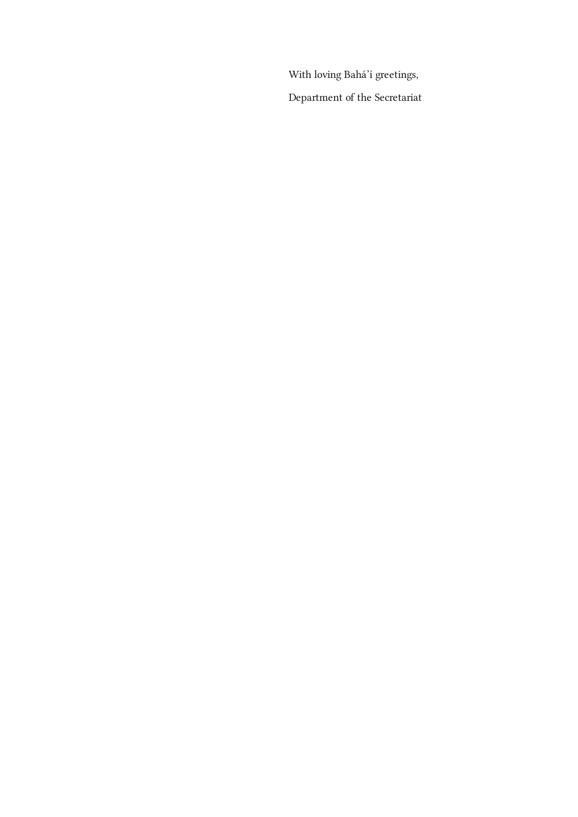With loving Bahá'í greetings, Department of the Secretariat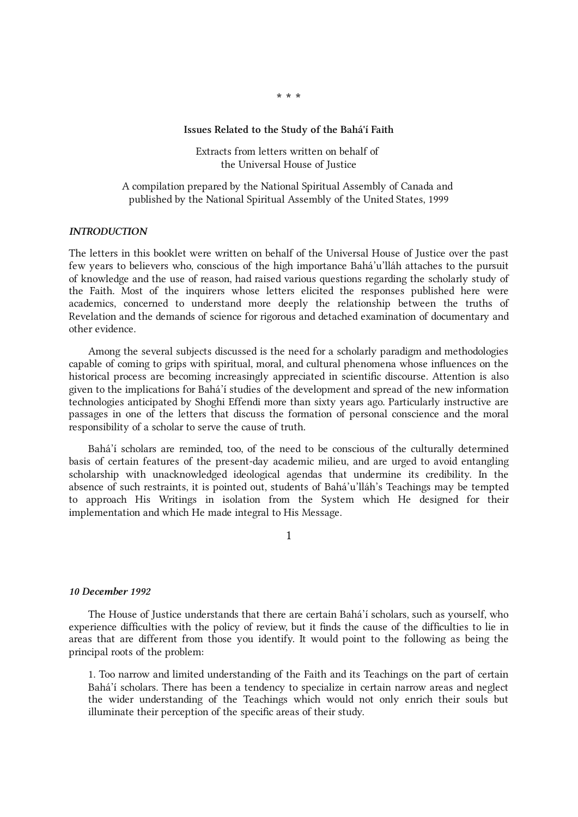\* \* \*

#### Issues Related to the Study of the Bahá'í Faith

# Extracts from letters written on behalf of the Universal House of Justice

A compilation prepared by the National Spiritual Assembly of Canada and published by the National Spiritual Assembly of the United States, 1999

# **INTRODUCTION**

The letters in this booklet were written on behalf of the Universal House of Justice over the past few years to believers who, conscious of the high importance Bahá'u'lláh attaches to the pursuit of knowledge and the use of reason, had raised various questions regarding the scholarly study of the Faith. Most of the inquirers whose letters elicited the responses published here were academics, concerned to understand more deeply the relationship between the truths of Revelation and the demands of science for rigorous and detached examination of documentary and other evidence.

Among the several subjects discussed is the need for a scholarly paradigm and methodologies capable of coming to grips with spiritual, moral, and cultural phenomena whose influences on the historical process are becoming increasingly appreciated in scientific discourse. Attention is also given to the implications for Bahá'í studies of the development and spread of the new information technologies anticipated by Shoghi Effendi more than sixty years ago. Particularly instructive are passages in one of the letters that discuss the formation of personal conscience and the moral responsibility of a scholar to serve the cause of truth.

Bahá'í scholars are reminded, too, of the need to be conscious of the culturally determined basis of certain features of the present-day academic milieu, and are urged to avoid entangling scholarship with unacknowledged ideological agendas that undermine its credibility. In the absence of such restraints, it is pointed out, students of Bahá'u'lláh's Teachings may be tempted to approach His Writings in isolation from the System which He designed for their implementation and which He made integral to His Message.

1

#### 10 December 1992

The House of Justice understands that there are certain Bahá'í scholars, such as yourself, who experience difficulties with the policy of review, but it finds the cause of the difficulties to lie in areas that are different from those you identify. It would point to the following as being the principal roots of the problem:

1. Too narrow and limited understanding of the Faith and its Teachings on the part of certain Bahá'í scholars. There has been a tendency to specialize in certain narrow areas and neglect the wider understanding of the Teachings which would not only enrich their souls but illuminate their perception of the specific areas of their study.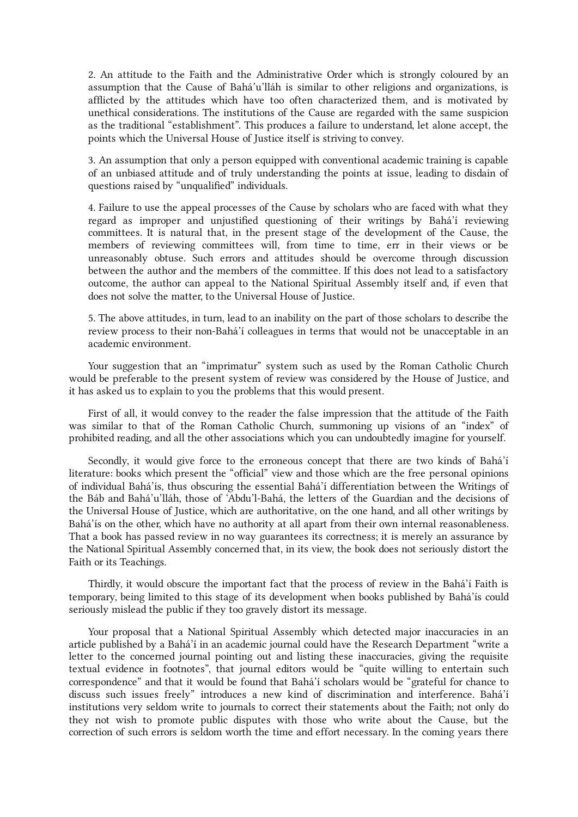2. An attitude to the Faith and the Administrative Order which is strongly coloured by an assumption that the Cause of Bahá'u'lláh is similar to other religions and organizations, is afflicted by the attitudes which have too often characterized them, and is motivated by unethical considerations. The institutions of the Cause are regarded with the same suspicion as the traditional "establishment". This produces a failure to understand, let alone accept, the points which the Universal House of Justice itself is striving to convey.

3. An assumption that only a person equipped with conventional academic training is capable of an unbiased attitude and of truly understanding the points at issue, leading to disdain of questions raised by "unqualified" individuals.

4. Failure to use the appeal processes of the Cause by scholars who are faced with what they regard as improper and unjustified questioning of their writings by Bahá'í reviewing committees. It is natural that, in the present stage of the development of the Cause, the members of reviewing committees will, from time to time, err in their views or be unreasonably obtuse. Such errors and attitudes should be overcome through discussion between the author and the members of the committee. If this does not lead to a satisfactory outcome, the author can appeal to the National Spiritual Assembly itself and, if even that does not solve the matter, to the Universal House of Justice.

5. The above attitudes, in turn, lead to an inability on the part of those scholars to describe the review process to their non-Bahá'í colleagues in terms that would not be unacceptable in an academic environment.

Your suggestion that an "imprimatur" system such as used by the Roman Catholic Church would be preferable to the present system of review was considered by the House of Justice, and it has asked us to explain to you the problems that this would present.

First of all, it would convey to the reader the false impression that the attitude of the Faith was similar to that of the Roman Catholic Church, summoning up visions of an "index" of prohibited reading, and all the other associations which you can undoubtedly imagine for yourself.

Secondly, it would give force to the erroneous concept that there are two kinds of Bahá'í literature: books which present the "official" view and those which are the free personal opinions of individual Bahá'ís, thus obscuring the essential Bahá'í differentiation between the Writings of the Báb and Bahá'u'lláh, those of 'Abdu'l-Bahá, the letters of the Guardian and the decisions of the Universal House of Justice, which are authoritative, on the one hand, and all other writings by Bahá'ís on the other, which have no authority at all apart from their own internal reasonableness. That a book has passed review in no way guarantees its correctness; it is merely an assurance by the National Spiritual Assembly concerned that, in its view, the book does not seriously distort the Faith or its Teachings.

Thirdly, it would obscure the important fact that the process of review in the Bahá'í Faith is temporary, being limited to this stage of its development when books published by Bahá'ís could seriously mislead the public if they too gravely distort its message.

Your proposal that a National Spiritual Assembly which detected major inaccuracies in an article published by a Bahá'í in an academic journal could have the Research Department "write a letter to the concerned journal pointing out and listing these inaccuracies, giving the requisite textual evidence in footnotes", that journal editors would be "quite willing to entertain such correspondence" and that it would be found that Bahá'í scholars would be "grateful for chance to discuss such issues freely" introduces a new kind of discrimination and interference. Bahá'í institutions very seldom write to journals to correct their statements about the Faith; not only do they not wish to promote public disputes with those who write about the Cause, but the correction of such errors is seldom worth the time and effort necessary. In the coming years there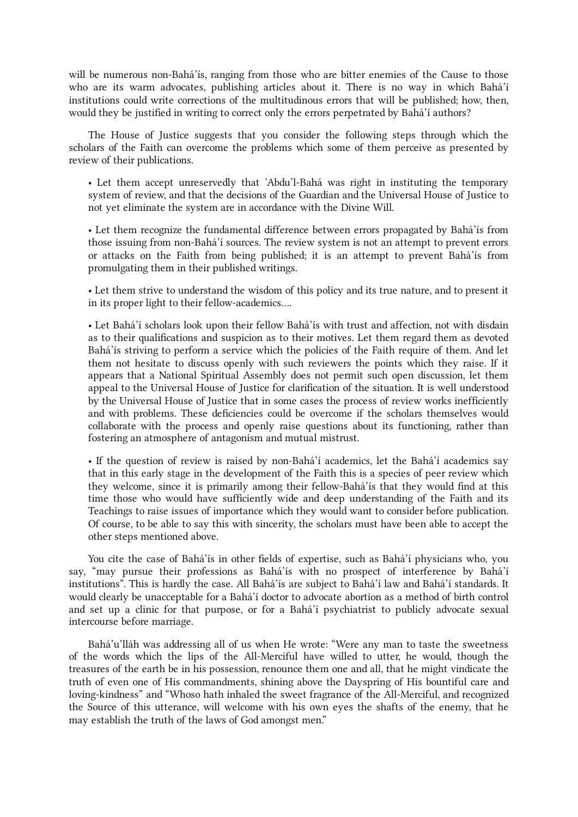will be numerous non-Bahá'ís, ranging from those who are bitter enemies of the Cause to those who are its warm advocates, publishing articles about it. There is no way in which Bahá'í institutions could write corrections of the multitudinous errors that will be published; how, then, would they be justified in writing to correct only the errors perpetrated by Bahá'í authors?

The House of Justice suggests that you consider the following steps through which the scholars of the Faith can overcome the problems which some of them perceive as presented by review of their publications.

• Let them accept unreservedly that 'Abdu'l-Bahá was right in instituting the temporary system of review, and that the decisions of the Guardian and the Universal House of Justice to not yet eliminate the system are in accordance with the Divine Will.

• Let them recognize the fundamental difference between errors propagated by Bahá'ís from those issuing from non-Bahá'í sources. The review system is not an attempt to prevent errors or attacks on the Faith from being published; it is an attempt to prevent Bahá'ís from promulgating them in their published writings.

• Let them strive to understand the wisdom of this policy and its true nature, and to present it in its proper light to their fellow-academics….

• Let Bahá'í scholars look upon their fellow Bahá'ís with trust and affection, not with disdain as to their qualifications and suspicion as to their motives. Let them regard them as devoted Bahá'ís striving to perform a service which the policies of the Faith require of them. And let them not hesitate to discuss openly with such reviewers the points which they raise. If it appears that a National Spiritual Assembly does not permit such open discussion, let them appeal to the Universal House of Justice for clarification of the situation. It is well understood by the Universal House of Justice that in some cases the process of review works inefficiently and with problems. These deficiencies could be overcome if the scholars themselves would collaborate with the process and openly raise questions about its functioning, rather than fostering an atmosphere of antagonism and mutual mistrust.

• If the question of review is raised by non-Bahá'í academics, let the Bahá'í academics say that in this early stage in the development of the Faith this is a species of peer review which they welcome, since it is primarily among their fellow-Bahá'ís that they would find at this time those who would have sufficiently wide and deep understanding of the Faith and its Teachings to raise issues of importance which they would want to consider before publication. Of course, to be able to say this with sincerity, the scholars must have been able to accept the other steps mentioned above.

You cite the case of Bahá'ís in other fields of expertise, such as Bahá'í physicians who, you say, "may pursue their professions as Bahá'ís with no prospect of interference by Bahá'í institutions". This is hardly the case. All Bahá'ís are subject to Bahá'í law and Bahá'í standards. It would clearly be unacceptable for a Bahá'í doctor to advocate abortion as a method of birth control and set up a clinic for that purpose, or for a Bahá'í psychiatrist to publicly advocate sexual intercourse before marriage.

Bahá'u'lláh was addressing all of us when He wrote: "Were any man to taste the sweetness of the words which the lips of the All-Merciful have willed to utter, he would, though the treasures of the earth be in his possession, renounce them one and all, that he might vindicate the truth of even one of His commandments, shining above the Dayspring of His bountiful care and loving-kindness" and "Whoso hath inhaled the sweet fragrance of the All-Merciful, and recognized the Source of this utterance, will welcome with his own eyes the shafts of the enemy, that he may establish the truth of the laws of God amongst men."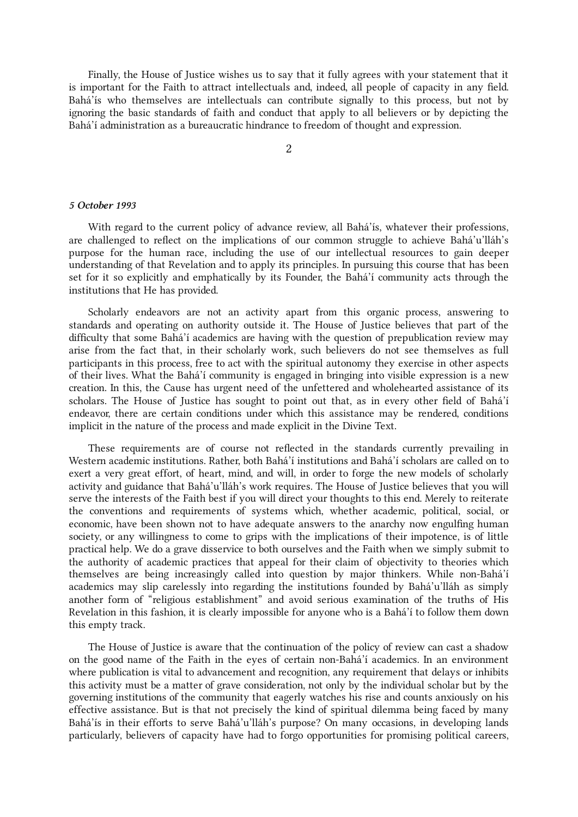Finally, the House of Justice wishes us to say that it fully agrees with your statement that it is important for the Faith to attract intellectuals and, indeed, all people of capacity in any field. Bahá'ís who themselves are intellectuals can contribute signally to this process, but not by ignoring the basic standards of faith and conduct that apply to all believers or by depicting the Bahá'í administration as a bureaucratic hindrance to freedom of thought and expression.

## 5 October 1993

With regard to the current policy of advance review, all Bahá'ís, whatever their professions, are challenged to reflect on the implications of our common struggle to achieve Bahá'u'lláh's purpose for the human race, including the use of our intellectual resources to gain deeper understanding of that Revelation and to apply its principles. In pursuing this course that has been set for it so explicitly and emphatically by its Founder, the Bahá'í community acts through the institutions that He has provided.

Scholarly endeavors are not an activity apart from this organic process, answering to standards and operating on authority outside it. The House of Justice believes that part of the difficulty that some Bahá'í academics are having with the question of prepublication review may arise from the fact that, in their scholarly work, such believers do not see themselves as full participants in this process, free to act with the spiritual autonomy they exercise in other aspects of their lives. What the Bahá'í community is engaged in bringing into visible expression is a new creation. In this, the Cause has urgent need of the unfettered and wholehearted assistance of its scholars. The House of Justice has sought to point out that, as in every other field of Bahá'í endeavor, there are certain conditions under which this assistance may be rendered, conditions implicit in the nature of the process and made explicit in the Divine Text.

These requirements are of course not reflected in the standards currently prevailing in Western academic institutions. Rather, both Bahá'í institutions and Bahá'í scholars are called on to exert a very great effort, of heart, mind, and will, in order to forge the new models of scholarly activity and guidance that Bahá'u'lláh's work requires. The House of Justice believes that you will serve the interests of the Faith best if you will direct your thoughts to this end. Merely to reiterate the conventions and requirements of systems which, whether academic, political, social, or economic, have been shown not to have adequate answers to the anarchy now engulfing human society, or any willingness to come to grips with the implications of their impotence, is of little practical help. We do a grave disservice to both ourselves and the Faith when we simply submit to the authority of academic practices that appeal for their claim of objectivity to theories which themselves are being increasingly called into question by major thinkers. While non-Bahá'í academics may slip carelessly into regarding the institutions founded by Bahá'u'lláh as simply another form of "religious establishment" and avoid serious examination of the truths of His Revelation in this fashion, it is clearly impossible for anyone who is a Bahá'í to follow them down this empty track.

The House of Justice is aware that the continuation of the policy of review can cast a shadow on the good name of the Faith in the eyes of certain non-Bahá'í academics. In an environment where publication is vital to advancement and recognition, any requirement that delays or inhibits this activity must be a matter of grave consideration, not only by the individual scholar but by the governing institutions of the community that eagerly watches his rise and counts anxiously on his effective assistance. But is that not precisely the kind of spiritual dilemma being faced by many Bahá'ís in their efforts to serve Bahá'u'lláh's purpose? On many occasions, in developing lands particularly, believers of capacity have had to forgo opportunities for promising political careers,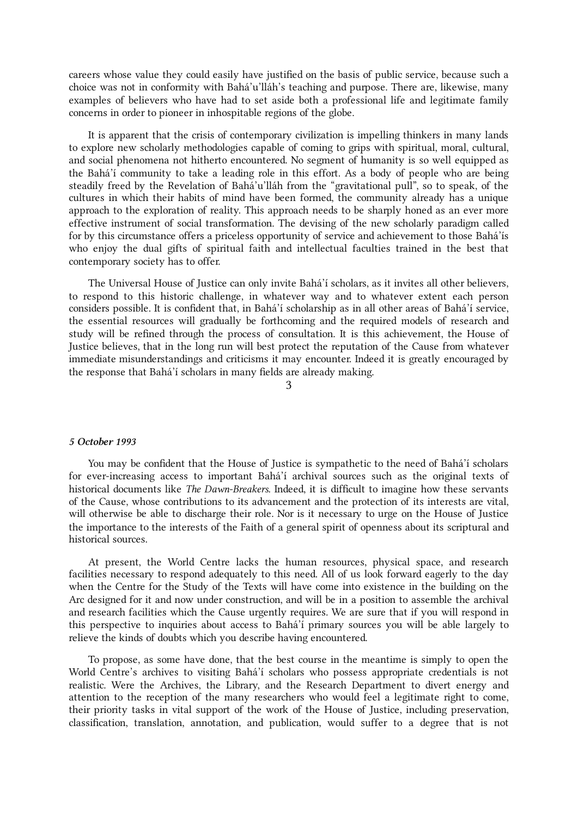careers whose value they could easily have justified on the basis of public service, because such a choice was not in conformity with Bahá'u'lláh's teaching and purpose. There are, likewise, many examples of believers who have had to set aside both a professional life and legitimate family concerns in order to pioneer in inhospitable regions of the globe.

It is apparent that the crisis of contemporary civilization is impelling thinkers in many lands to explore new scholarly methodologies capable of coming to grips with spiritual, moral, cultural, and social phenomena not hitherto encountered. No segment of humanity is so well equipped as the Bahá'í community to take a leading role in this effort. As a body of people who are being steadily freed by the Revelation of Bahá'u'lláh from the "gravitational pull", so to speak, of the cultures in which their habits of mind have been formed, the community already has a unique approach to the exploration of reality. This approach needs to be sharply honed as an ever more effective instrument of social transformation. The devising of the new scholarly paradigm called for by this circumstance offers a priceless opportunity of service and achievement to those Bahá'ís who enjoy the dual gifts of spiritual faith and intellectual faculties trained in the best that contemporary society has to offer.

The Universal House of Justice can only invite Bahá'í scholars, as it invites all other believers, to respond to this historic challenge, in whatever way and to whatever extent each person considers possible. It is confident that, in Bahá'í scholarship as in all other areas of Bahá'í service, the essential resources will gradually be forthcoming and the required models of research and study will be refined through the process of consultation. It is this achievement, the House of Justice believes, that in the long run will best protect the reputation of the Cause from whatever immediate misunderstandings and criticisms it may encounter. Indeed it is greatly encouraged by the response that Bahá'í scholars in many fields are already making.

3

## 5 October 1993

You may be confident that the House of Justice is sympathetic to the need of Bahá'í scholars for ever-increasing access to important Bahá'í archival sources such as the original texts of historical documents like The Dawn-Breakers. Indeed, it is difficult to imagine how these servants of the Cause, whose contributions to its advancement and the protection of its interests are vital, will otherwise be able to discharge their role. Nor is it necessary to urge on the House of Justice the importance to the interests of the Faith of a general spirit of openness about its scriptural and historical sources.

At present, the World Centre lacks the human resources, physical space, and research facilities necessary to respond adequately to this need. All of us look forward eagerly to the day when the Centre for the Study of the Texts will have come into existence in the building on the Arc designed for it and now under construction, and will be in a position to assemble the archival and research facilities which the Cause urgently requires. We are sure that if you will respond in this perspective to inquiries about access to Bahá'í primary sources you will be able largely to relieve the kinds of doubts which you describe having encountered.

To propose, as some have done, that the best course in the meantime is simply to open the World Centre's archives to visiting Bahá'í scholars who possess appropriate credentials is not realistic. Were the Archives, the Library, and the Research Department to divert energy and attention to the reception of the many researchers who would feel a legitimate right to come, their priority tasks in vital support of the work of the House of Justice, including preservation, classification, translation, annotation, and publication, would suffer to a degree that is not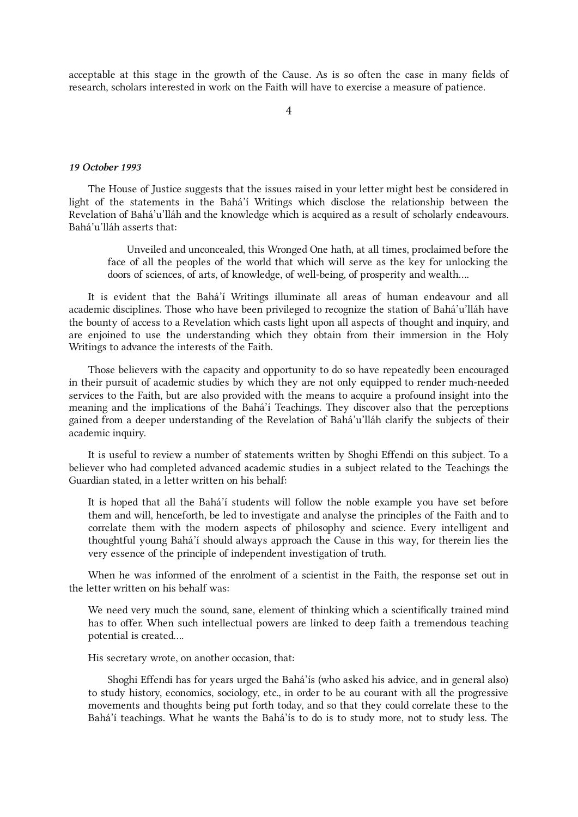acceptable at this stage in the growth of the Cause. As is so often the case in many fields of research, scholars interested in work on the Faith will have to exercise a measure of patience.

# 19 October 1993

The House of Justice suggests that the issues raised in your letter might best be considered in light of the statements in the Bahá'í Writings which disclose the relationship between the Revelation of Bahá'u'lláh and the knowledge which is acquired as a result of scholarly endeavours. Bahá'u'lláh asserts that:

Unveiled and unconcealed, this Wronged One hath, at all times, proclaimed before the face of all the peoples of the world that which will serve as the key for unlocking the doors of sciences, of arts, of knowledge, of well-being, of prosperity and wealth....

It is evident that the Bahá'í Writings illuminate all areas of human endeavour and all academic disciplines. Those who have been privileged to recognize the station of Bahá'u'lláh have the bounty of access to a Revelation which casts light upon all aspects of thought and inquiry, and are enjoined to use the understanding which they obtain from their immersion in the Holy Writings to advance the interests of the Faith.

Those believers with the capacity and opportunity to do so have repeatedly been encouraged in their pursuit of academic studies by which they are not only equipped to render much-needed services to the Faith, but are also provided with the means to acquire a profound insight into the meaning and the implications of the Bahá'í Teachings. They discover also that the perceptions gained from a deeper understanding of the Revelation of Bahá'u'lláh clarify the subjects of their academic inquiry.

It is useful to review a number of statements written by Shoghi Effendi on this subject. To a believer who had completed advanced academic studies in a subject related to the Teachings the Guardian stated, in a letter written on his behalf:

It is hoped that all the Bahá'í students will follow the noble example you have set before them and will, henceforth, be led to investigate and analyse the principles of the Faith and to correlate them with the modern aspects of philosophy and science. Every intelligent and thoughtful young Bahá'í should always approach the Cause in this way, for therein lies the very essence of the principle of independent investigation of truth.

When he was informed of the enrolment of a scientist in the Faith, the response set out in the letter written on his behalf was:

We need very much the sound, sane, element of thinking which a scientifically trained mind has to offer. When such intellectual powers are linked to deep faith a tremendous teaching potential is created....

## His secretary wrote, on another occasion, that:

Shoghi Effendi has for years urged the Bahá'ís (who asked his advice, and in general also) to study history, economics, sociology, etc., in order to be au courant with all the progressive movements and thoughts being put forth today, and so that they could correlate these to the Bahá'í teachings. What he wants the Bahá'ís to do is to study more, not to study less. The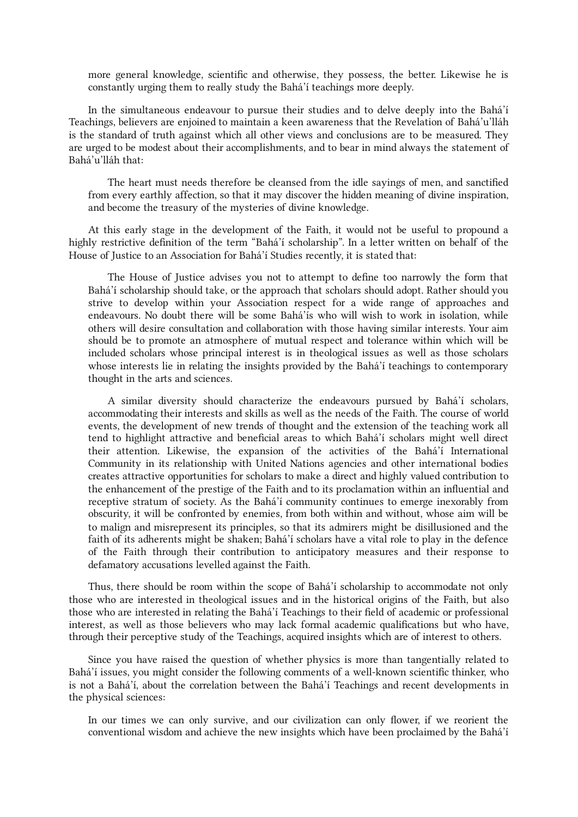more general knowledge, scientific and otherwise, they possess, the better. Likewise he is constantly urging them to really study the Bahá'í teachings more deeply.

In the simultaneous endeavour to pursue their studies and to delve deeply into the Bahá'í Teachings, believers are enjoined to maintain a keen awareness that the Revelation of Bahá'u'lláh is the standard of truth against which all other views and conclusions are to be measured. They are urged to be modest about their accomplishments, and to bear in mind always the statement of Bahá'u'lláh that:

The heart must needs therefore be cleansed from the idle sayings of men, and sanctified from every earthly affection, so that it may discover the hidden meaning of divine inspiration, and become the treasury of the mysteries of divine knowledge.

At this early stage in the development of the Faith, it would not be useful to propound a highly restrictive definition of the term "Bahá'í scholarship". In a letter written on behalf of the House of Justice to an Association for Bahá'í Studies recently, it is stated that:

The House of Justice advises you not to attempt to define too narrowly the form that Bahá'í scholarship should take, or the approach that scholars should adopt. Rather should you strive to develop within your Association respect for a wide range of approaches and endeavours. No doubt there will be some Bahá'ís who will wish to work in isolation, while others will desire consultation and collaboration with those having similar interests. Your aim should be to promote an atmosphere of mutual respect and tolerance within which will be included scholars whose principal interest is in theological issues as well as those scholars whose interests lie in relating the insights provided by the Bahá'í teachings to contemporary thought in the arts and sciences.

A similar diversity should characterize the endeavours pursued by Bahá'í scholars, accommodating their interests and skills as well as the needs of the Faith. The course of world events, the development of new trends of thought and the extension of the teaching work all tend to highlight attractive and beneficial areas to which Bahá'í scholars might well direct their attention. Likewise, the expansion of the activities of the Bahá'í International Community in its relationship with United Nations agencies and other international bodies creates attractive opportunities for scholars to make a direct and highly valued contribution to the enhancement of the prestige of the Faith and to its proclamation within an influential and receptive stratum of society. As the Bahá'í community continues to emerge inexorably from obscurity, it will be confronted by enemies, from both within and without, whose aim will be to malign and misrepresent its principles, so that its admirers might be disillusioned and the faith of its adherents might be shaken; Bahá'í scholars have a vital role to play in the defence of the Faith through their contribution to anticipatory measures and their response to defamatory accusations levelled against the Faith.

Thus, there should be room within the scope of Bahá'í scholarship to accommodate not only those who are interested in theological issues and in the historical origins of the Faith, but also those who are interested in relating the Bahá'í Teachings to their field of academic or professional interest, as well as those believers who may lack formal academic qualifications but who have, through their perceptive study of the Teachings, acquired insights which are of interest to others.

Since you have raised the question of whether physics is more than tangentially related to Bahá'í issues, you might consider the following comments of a well-known scientific thinker, who is not a Bahá'í, about the correlation between the Bahá'í Teachings and recent developments in the physical sciences:

In our times we can only survive, and our civilization can only flower, if we reorient the conventional wisdom and achieve the new insights which have been proclaimed by the Bahá'í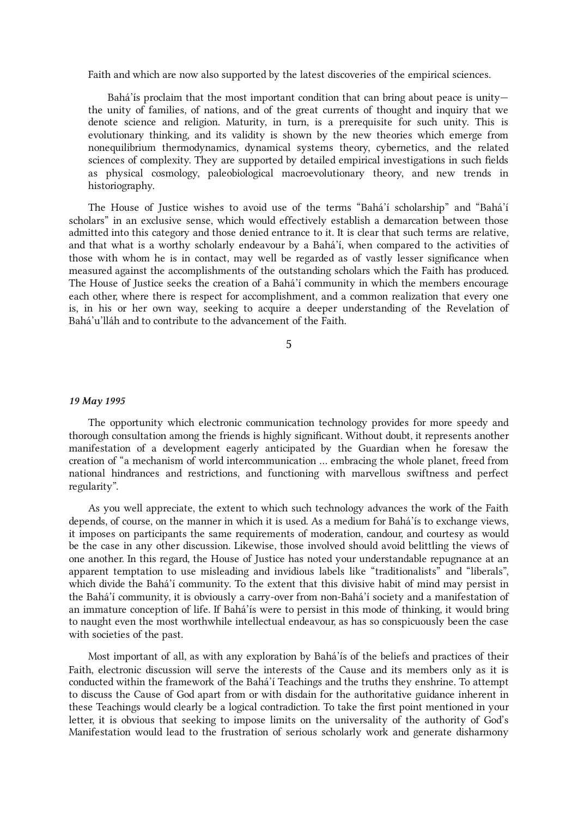Faith and which are now also supported by the latest discoveries of the empirical sciences.

Bahá'ís proclaim that the most important condition that can bring about peace is unity the unity of families, of nations, and of the great currents of thought and inquiry that we denote science and religion. Maturity, in turn, is a prerequisite for such unity. This is evolutionary thinking, and its validity is shown by the new theories which emerge from nonequilibrium thermodynamics, dynamical systems theory, cybernetics, and the related sciences of complexity. They are supported by detailed empirical investigations in such fields as physical cosmology, paleobiological macroevolutionary theory, and new trends in historiography.

The House of Justice wishes to avoid use of the terms "Bahá'í scholarship" and "Bahá'í scholars" in an exclusive sense, which would effectively establish a demarcation between those admitted into this category and those denied entrance to it. It is clear that such terms are relative, and that what is a worthy scholarly endeavour by a Bahá'í, when compared to the activities of those with whom he is in contact, may well be regarded as of vastly lesser significance when measured against the accomplishments of the outstanding scholars which the Faith has produced. The House of Justice seeks the creation of a Bahá'í community in which the members encourage each other, where there is respect for accomplishment, and a common realization that every one is, in his or her own way, seeking to acquire a deeper understanding of the Revelation of Bahá'u'lláh and to contribute to the advancement of the Faith.

5

#### 19 May 1995

The opportunity which electronic communication technology provides for more speedy and thorough consultation among the friends is highly significant. Without doubt, it represents another manifestation of a development eagerly anticipated by the Guardian when he foresaw the creation of "a mechanism of world intercommunication ... embracing the whole planet, freed from national hindrances and restrictions, and functioning with marvellous swiftness and perfect regularity".

As you well appreciate, the extent to which such technology advances the work of the Faith depends, of course, on the manner in which it is used. As a medium for Bahá'ís to exchange views, it imposes on participants the same requirements of moderation, candour, and courtesy as would be the case in any other discussion. Likewise, those involved should avoid belittling the views of one another. In this regard, the House of Justice has noted your understandable repugnance at an apparent temptation to use misleading and invidious labels like "traditionalists" and "liberals", which divide the Bahá'í community. To the extent that this divisive habit of mind may persist in the Bahá'í community, it is obviously a carry-over from non-Bahá'í society and a manifestation of an immature conception of life. If Bahá'ís were to persist in this mode of thinking, it would bring to naught even the most worthwhile intellectual endeavour, as has so conspicuously been the case with societies of the past.

Most important of all, as with any exploration by Bahá'ís of the beliefs and practices of their Faith, electronic discussion will serve the interests of the Cause and its members only as it is conducted within the framework of the Bahá'í Teachings and the truths they enshrine. To attempt to discuss the Cause of God apart from or with disdain for the authoritative guidance inherent in these Teachings would clearly be a logical contradiction. To take the first point mentioned in your letter, it is obvious that seeking to impose limits on the universality of the authority of God's Manifestation would lead to the frustration of serious scholarly work and generate disharmony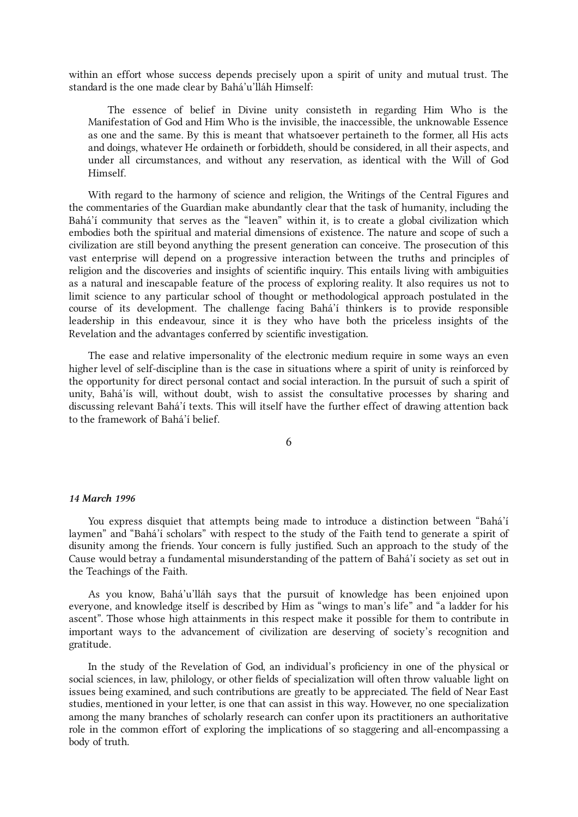within an effort whose success depends precisely upon a spirit of unity and mutual trust. The standard is the one made clear by Bahá'u'lláh Himself:

The essence of belief in Divine unity consisteth in regarding Him Who is the Manifestation of God and Him Who is the invisible, the inaccessible, the unknowable Essence as one and the same. By this is meant that whatsoever pertaineth to the former, all His acts and doings, whatever He ordaineth or forbiddeth, should be considered, in all their aspects, and under all circumstances, and without any reservation, as identical with the Will of God Himself.

With regard to the harmony of science and religion, the Writings of the Central Figures and the commentaries of the Guardian make abundantly clear that the task of humanity, including the Bahá'í community that serves as the "leaven" within it, is to create a global civilization which embodies both the spiritual and material dimensions of existence. The nature and scope of such a civilization are still beyond anything the present generation can conceive. The prosecution of this vast enterprise will depend on a progressive interaction between the truths and principles of religion and the discoveries and insights of scientific inquiry. This entails living with ambiguities as a natural and inescapable feature of the process of exploring reality. It also requires us not to limit science to any particular school of thought or methodological approach postulated in the course of its development. The challenge facing Bahá'í thinkers is to provide responsible leadership in this endeavour, since it is they who have both the priceless insights of the Revelation and the advantages conferred by scientific investigation.

The ease and relative impersonality of the electronic medium require in some ways an even higher level of self-discipline than is the case in situations where a spirit of unity is reinforced by the opportunity for direct personal contact and social interaction. In the pursuit of such a spirit of unity, Bahá'ís will, without doubt, wish to assist the consultative processes by sharing and discussing relevant Bahá'í texts. This will itself have the further effect of drawing attention back to the framework of Bahá'í belief.

6

### 14 March 1996

You express disquiet that attempts being made to introduce a distinction between "Bahá'í laymen" and "Bahá'í scholars" with respect to the study of the Faith tend to generate a spirit of disunity among the friends. Your concern is fully justified. Such an approach to the study of the Cause would betray a fundamental misunderstanding of the pattern of Bahá'í society as set out in the Teachings of the Faith.

As you know, Bahá'u'lláh says that the pursuit of knowledge has been enjoined upon everyone, and knowledge itself is described by Him as "wings to man's life" and "a ladder for his ascent". Those whose high attainments in this respect make it possible for them to contribute in important ways to the advancement of civilization are deserving of society's recognition and gratitude.

In the study of the Revelation of God, an individual's proficiency in one of the physical or social sciences, in law, philology, or other fields of specialization will often throw valuable light on issues being examined, and such contributions are greatly to be appreciated. The field of Near East studies, mentioned in your letter, is one that can assist in this way. However, no one specialization among the many branches of scholarly research can confer upon its practitioners an authoritative role in the common effort of exploring the implications of so staggering and all-encompassing a body of truth.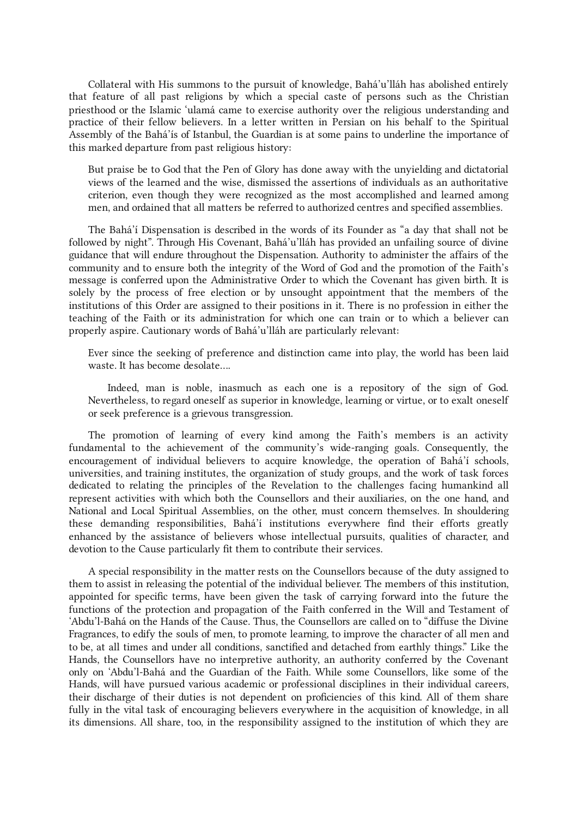Collateral with His summons to the pursuit of knowledge, Bahá'u'lláh has abolished entirely that feature of all past religions by which a special caste of persons such as the Christian priesthood or the Islamic 'ulamá came to exercise authority over the religious understanding and practice of their fellow believers. In a letter written in Persian on his behalf to the Spiritual Assembly of the Bahá'ís of Istanbul, the Guardian is at some pains to underline the importance of this marked departure from past religious history:

But praise be to God that the Pen of Glory has done away with the unyielding and dictatorial views of the learned and the wise, dismissed the assertions of individuals as an authoritative criterion, even though they were recognized as the most accomplished and learned among men, and ordained that all matters be referred to authorized centres and specified assemblies.

The Bahá'í Dispensation is described in the words of its Founder as "a day that shall not be followed by night". Through His Covenant, Bahá'u'lláh has provided an unfailing source of divine guidance that will endure throughout the Dispensation. Authority to administer the affairs of the community and to ensure both the integrity of the Word of God and the promotion of the Faith's message is conferred upon the Administrative Order to which the Covenant has given birth. It is solely by the process of free election or by unsought appointment that the members of the institutions of this Order are assigned to their positions in it. There is no profession in either the teaching of the Faith or its administration for which one can train or to which a believer can properly aspire. Cautionary words of Bahá'u'lláh are particularly relevant:

Ever since the seeking of preference and distinction came into play, the world has been laid waste. It has become desolate....

Indeed, man is noble, inasmuch as each one is a repository of the sign of God. Nevertheless, to regard oneself as superior in knowledge, learning or virtue, or to exalt oneself or seek preference is a grievous transgression.

The promotion of learning of every kind among the Faith's members is an activity fundamental to the achievement of the community's wide-ranging goals. Consequently, the encouragement of individual believers to acquire knowledge, the operation of Bahá'í schools, universities, and training institutes, the organization of study groups, and the work of task forces dedicated to relating the principles of the Revelation to the challenges facing humankind all represent activities with which both the Counsellors and their auxiliaries, on the one hand, and National and Local Spiritual Assemblies, on the other, must concern themselves. In shouldering these demanding responsibilities, Bahá'í institutions everywhere find their efforts greatly enhanced by the assistance of believers whose intellectual pursuits, qualities of character, and devotion to the Cause particularly fit them to contribute their services.

A special responsibility in the matter rests on the Counsellors because of the duty assigned to them to assist in releasing the potential of the individual believer. The members of this institution, appointed for specific terms, have been given the task of carrying forward into the future the functions of the protection and propagation of the Faith conferred in the Will and Testament of 'Abdu'l-Bahá on the Hands of the Cause. Thus, the Counsellors are called on to "diffuse the Divine Fragrances, to edify the souls of men, to promote learning, to improve the character of all men and to be, at all times and under all conditions, sanctified and detached from earthly things." Like the Hands, the Counsellors have no interpretive authority, an authority conferred by the Covenant only on 'Abdu'l-Bahá and the Guardian of the Faith. While some Counsellors, like some of the Hands, will have pursued various academic or professional disciplines in their individual careers, their discharge of their duties is not dependent on proficiencies of this kind. All of them share fully in the vital task of encouraging believers everywhere in the acquisition of knowledge, in all its dimensions. All share, too, in the responsibility assigned to the institution of which they are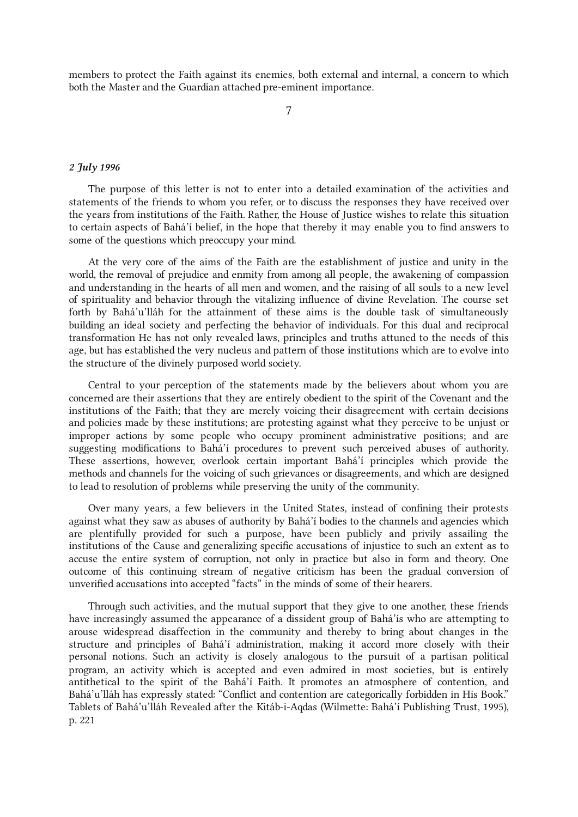members to protect the Faith against its enemies, both external and internal, a concern to which both the Master and the Guardian attached pre-eminent importance.

# 2 July 1996

The purpose of this letter is not to enter into a detailed examination of the activities and statements of the friends to whom you refer, or to discuss the responses they have received over the years from institutions of the Faith. Rather, the House of Justice wishes to relate this situation to certain aspects of Bahá'í belief, in the hope that thereby it may enable you to find answers to some of the questions which preoccupy your mind.

At the very core of the aims of the Faith are the establishment of justice and unity in the world, the removal of prejudice and enmity from among all people, the awakening of compassion and understanding in the hearts of all men and women, and the raising of all souls to a new level of spirituality and behavior through the vitalizing influence of divine Revelation. The course set forth by Bahá'u'lláh for the attainment of these aims is the double task of simultaneously building an ideal society and perfecting the behavior of individuals. For this dual and reciprocal transformation He has not only revealed laws, principles and truths attuned to the needs of this age, but has established the very nucleus and pattern of those institutions which are to evolve into the structure of the divinely purposed world society.

Central to your perception of the statements made by the believers about whom you are concerned are their assertions that they are entirely obedient to the spirit of the Covenant and the institutions of the Faith; that they are merely voicing their disagreement with certain decisions and policies made by these institutions; are protesting against what they perceive to be unjust or improper actions by some people who occupy prominent administrative positions; and are suggesting modifications to Bahá'í procedures to prevent such perceived abuses of authority. These assertions, however, overlook certain important Bahá'í principles which provide the methods and channels for the voicing of such grievances or disagreements, and which are designed to lead to resolution of problems while preserving the unity of the community.

Over many years, a few believers in the United States, instead of confining their protests against what they saw as abuses of authority by Bahá'í bodies to the channels and agencies which are plentifully provided for such a purpose, have been publicly and privily assailing the institutions of the Cause and generalizing specific accusations of injustice to such an extent as to accuse the entire system of corruption, not only in practice but also in form and theory. One outcome of this continuing stream of negative criticism has been the gradual conversion of unverified accusations into accepted "facts" in the minds of some of their hearers.

Through such activities, and the mutual support that they give to one another, these friends have increasingly assumed the appearance of a dissident group of Bahá'ís who are attempting to arouse widespread disaffection in the community and thereby to bring about changes in the structure and principles of Bahá'í administration, making it accord more closely with their personal notions. Such an activity is closely analogous to the pursuit of a partisan political program, an activity which is accepted and even admired in most societies, but is entirely antithetical to the spirit of the Bahá'í Faith. It promotes an atmosphere of contention, and Bahá'u'lláh has expressly stated: "Conflict and contention are categorically forbidden in His Book." Tablets of Bahá'u'lláh Revealed after the Kitáb-i-Aqdas (Wilmette: Bahá'í Publishing Trust, 1995), p. 221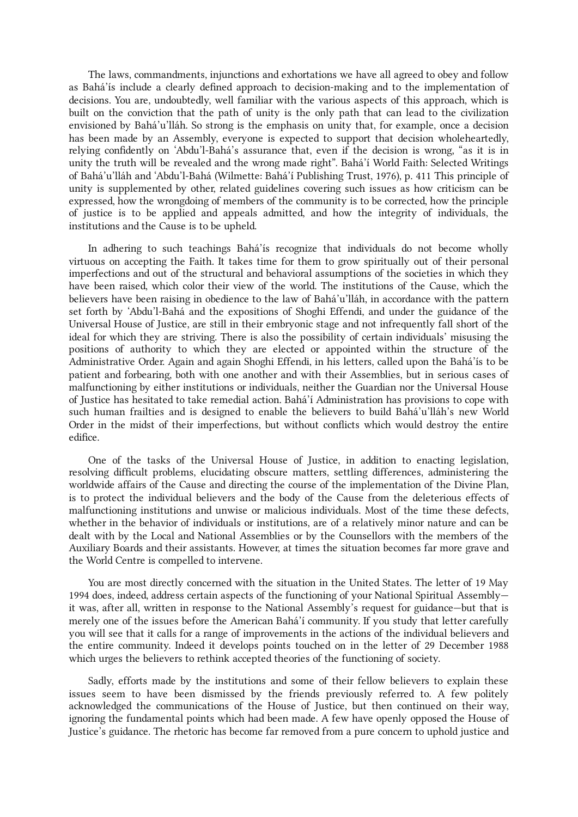The laws, commandments, injunctions and exhortations we have all agreed to obey and follow as Bahá'ís include a clearly defined approach to decision-making and to the implementation of decisions. You are, undoubtedly, well familiar with the various aspects of this approach, which is built on the conviction that the path of unity is the only path that can lead to the civilization envisioned by Bahá'u'lláh. So strong is the emphasis on unity that, for example, once a decision has been made by an Assembly, everyone is expected to support that decision wholeheartedly, relying confidently on 'Abdu'l-Bahá's assurance that, even if the decision is wrong, "as it is in unity the truth will be revealed and the wrong made right". Bahá'í World Faith: Selected Writings of Bahá'u'lláh and 'Abdu'l-Bahá (Wilmette: Bahá'í Publishing Trust, 1976), p. 411 This principle of unity is supplemented by other, related guidelines covering such issues as how criticism can be expressed, how the wrongdoing of members of the community is to be corrected, how the principle of justice is to be applied and appeals admitted, and how the integrity of individuals, the institutions and the Cause is to be upheld.

In adhering to such teachings Bahá'ís recognize that individuals do not become wholly virtuous on accepting the Faith. It takes time for them to grow spiritually out of their personal imperfections and out of the structural and behavioral assumptions of the societies in which they have been raised, which color their view of the world. The institutions of the Cause, which the believers have been raising in obedience to the law of Bahá'u'lláh, in accordance with the pattern set forth by 'Abdu'l-Bahá and the expositions of Shoghi Effendi, and under the guidance of the Universal House of Justice, are still in their embryonic stage and not infrequently fall short of the ideal for which they are striving. There is also the possibility of certain individuals' misusing the positions of authority to which they are elected or appointed within the structure of the Administrative Order. Again and again Shoghi Effendi, in his letters, called upon the Bahá'ís to be patient and forbearing, both with one another and with their Assemblies, but in serious cases of malfunctioning by either institutions or individuals, neither the Guardian nor the Universal House of Justice has hesitated to take remedial action. Bahá'í Administration has provisions to cope with such human frailties and is designed to enable the believers to build Bahá'u'lláh's new World Order in the midst of their imperfections, but without conflicts which would destroy the entire edifice.

One of the tasks of the Universal House of Justice, in addition to enacting legislation, resolving difficult problems, elucidating obscure matters, settling differences, administering the worldwide affairs of the Cause and directing the course of the implementation of the Divine Plan, is to protect the individual believers and the body of the Cause from the deleterious effects of malfunctioning institutions and unwise or malicious individuals. Most of the time these defects, whether in the behavior of individuals or institutions, are of a relatively minor nature and can be dealt with by the Local and National Assemblies or by the Counsellors with the members of the Auxiliary Boards and their assistants. However, at times the situation becomes far more grave and the World Centre is compelled to intervene.

You are most directly concerned with the situation in the United States. The letter of 19 May 1994 does, indeed, address certain aspects of the functioning of your National Spiritual Assembly it was, after all, written in response to the National Assembly's request for guidance—but that is merely one of the issues before the American Bahá'í community. If you study that letter carefully you will see that it calls for a range of improvements in the actions of the individual believers and the entire community. Indeed it develops points touched on in the letter of 29 December 1988 which urges the believers to rethink accepted theories of the functioning of society.

Sadly, efforts made by the institutions and some of their fellow believers to explain these issues seem to have been dismissed by the friends previously referred to. A few politely acknowledged the communications of the House of Justice, but then continued on their way, ignoring the fundamental points which had been made. A few have openly opposed the House of Justice's guidance. The rhetoric has become far removed from a pure concern to uphold justice and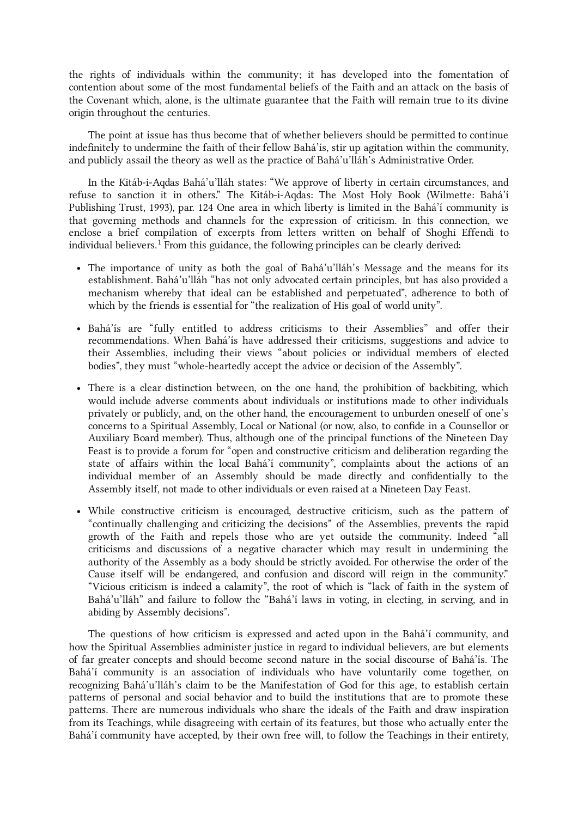the rights of individuals within the community; it has developed into the fomentation of contention about some of the most fundamental beliefs of the Faith and an attack on the basis of the Covenant which, alone, is the ultimate guarantee that the Faith will remain true to its divine origin throughout the centuries.

The point at issue has thus become that of whether believers should be permitted to continue indefinitely to undermine the faith of their fellow Bahá'ís, stir up agitation within the community, and publicly assail the theory as well as the practice of Bahá'u'lláh's Administrative Order.

<span id="page-15-0"></span>In the Kitáb-i-Aqdas Bahá'u'lláh states: "We approve of liberty in certain circumstances, and refuse to sanction it in others." The Kitáb-i-Aqdas: The Most Holy Book (Wilmette: Bahá'í Publishing Trust, 1993), par. 124 One area in which liberty is limited in the Bahá'í community is that governing methods and channels for the expression of criticism. In this connection, we enclose a brief compilation of excerpts from letters written on behalf of Shoghi Effendi to individual believers. [1](#page-26-0) From this guidance, the following principles can be clearly derived:

- The importance of unity as both the goal of Bahá'u'lláh's Message and the means for its establishment. Bahá'u'lláh "has not only advocated certain principles, but has also provided a mechanism whereby that ideal can be established and perpetuated", adherence to both of which by the friends is essential for "the realization of His goal of world unity".
- Bahá'ís are "fully entitled to address criticisms to their Assemblies" and offer their recommendations. When Bahá'ís have addressed their criticisms, suggestions and advice to their Assemblies, including their views "about policies or individual members of elected bodies", they must "whole-heartedly accept the advice or decision of the Assembly".
- There is a clear distinction between, on the one hand, the prohibition of backbiting, which would include adverse comments about individuals or institutions made to other individuals privately or publicly, and, on the other hand, the encouragement to unburden oneself of one's concerns to a Spiritual Assembly, Local or National (or now, also, to confide in a Counsellor or Auxiliary Board member). Thus, although one of the principal functions of the Nineteen Day Feast is to provide a forum for "open and constructive criticism and deliberation regarding the state of affairs within the local Bahá'í community", complaints about the actions of an individual member of an Assembly should be made directly and confidentially to the Assembly itself, not made to other individuals or even raised at a Nineteen Day Feast.
- While constructive criticism is encouraged, destructive criticism, such as the pattern of "continually challenging and criticizing the decisions" of the Assemblies, prevents the rapid growth of the Faith and repels those who are yet outside the community. Indeed "all criticisms and discussions of a negative character which may result in undermining the authority of the Assembly as a body should be strictly avoided. For otherwise the order of the Cause itself will be endangered, and confusion and discord will reign in the community." "Vicious criticism is indeed a calamity", the root of which is "lack of faith in the system of Bahá'u'lláh" and failure to follow the "Bahá'í laws in voting, in electing, in serving, and in abiding by Assembly decisions".

The questions of how criticism is expressed and acted upon in the Bahá'í community, and how the Spiritual Assemblies administer justice in regard to individual believers, are but elements of far greater concepts and should become second nature in the social discourse of Bahá'ís. The Bahá'í community is an association of individuals who have voluntarily come together, on recognizing Bahá'u'lláh's claim to be the Manifestation of God for this age, to establish certain patterns of personal and social behavior and to build the institutions that are to promote these patterns. There are numerous individuals who share the ideals of the Faith and draw inspiration from its Teachings, while disagreeing with certain of its features, but those who actually enter the Bahá'í community have accepted, by their own free will, to follow the Teachings in their entirety,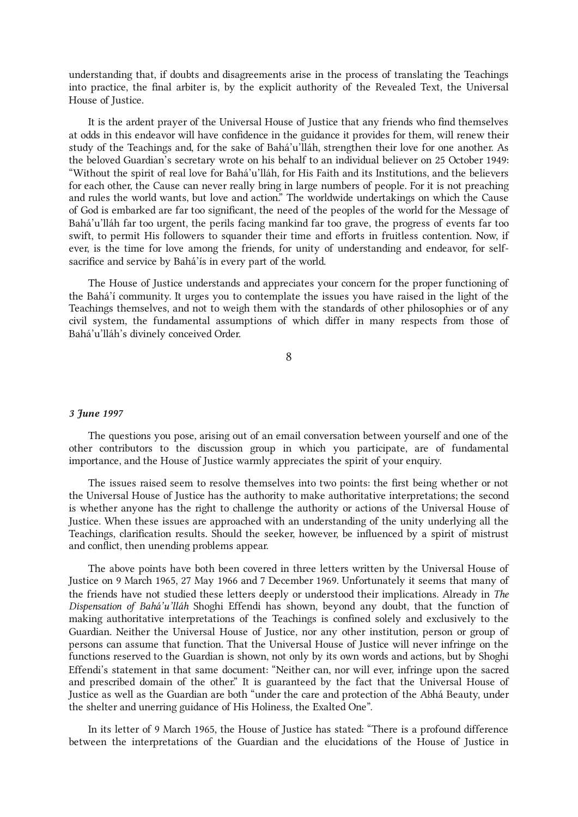understanding that, if doubts and disagreements arise in the process of translating the Teachings into practice, the final arbiter is, by the explicit authority of the Revealed Text, the Universal House of Justice.

It is the ardent prayer of the Universal House of Justice that any friends who find themselves at odds in this endeavor will have confidence in the guidance it provides for them, will renew their study of the Teachings and, for the sake of Bahá'u'lláh, strengthen their love for one another. As the beloved Guardian's secretary wrote on his behalf to an individual believer on 25 October 1949: "Without the spirit of real love for Bahá'u'lláh, for His Faith and its Institutions, and the believers for each other, the Cause can never really bring in large numbers of people. For it is not preaching and rules the world wants, but love and action." The worldwide undertakings on which the Cause of God is embarked are far too significant, the need of the peoples of the world for the Message of Bahá'u'lláh far too urgent, the perils facing mankind far too grave, the progress of events far too swift, to permit His followers to squander their time and efforts in fruitless contention. Now, if ever, is the time for love among the friends, for unity of understanding and endeavor, for selfsacrifice and service by Bahá'ís in every part of the world.

The House of Justice understands and appreciates your concern for the proper functioning of the Bahá'í community. It urges you to contemplate the issues you have raised in the light of the Teachings themselves, and not to weigh them with the standards of other philosophies or of any civil system, the fundamental assumptions of which differ in many respects from those of Bahá'u'lláh's divinely conceived Order.

8

#### 3 June 1997

The questions you pose, arising out of an email conversation between yourself and one of the other contributors to the discussion group in which you participate, are of fundamental importance, and the House of Justice warmly appreciates the spirit of your enquiry.

The issues raised seem to resolve themselves into two points: the first being whether or not the Universal House of Justice has the authority to make authoritative interpretations; the second is whether anyone has the right to challenge the authority or actions of the Universal House of Justice. When these issues are approached with an understanding of the unity underlying all the Teachings, clarification results. Should the seeker, however, be influenced by a spirit of mistrust and conflict, then unending problems appear.

The above points have both been covered in three letters written by the Universal House of Justice on 9 March 1965, 27 May 1966 and 7 December 1969. Unfortunately it seems that many of the friends have not studied these letters deeply or understood their implications. Already in The Dispensation of Bahá'u'lláh Shoghi Effendi has shown, beyond any doubt, that the function of making authoritative interpretations of the Teachings is confined solely and exclusively to the Guardian. Neither the Universal House of Justice, nor any other institution, person or group of persons can assume that function. That the Universal House of Justice will never infringe on the functions reserved to the Guardian is shown, not only by its own words and actions, but by Shoghi Effendi's statement in that same document: "Neither can, nor will ever, infringe upon the sacred and prescribed domain of the other." It is guaranteed by the fact that the Universal House of Justice as well as the Guardian are both "under the care and protection of the Abhá Beauty, under the shelter and unerring guidance of His Holiness, the Exalted One".

In its letter of 9 March 1965, the House of Justice has stated: "There is a profound difference between the interpretations of the Guardian and the elucidations of the House of Justice in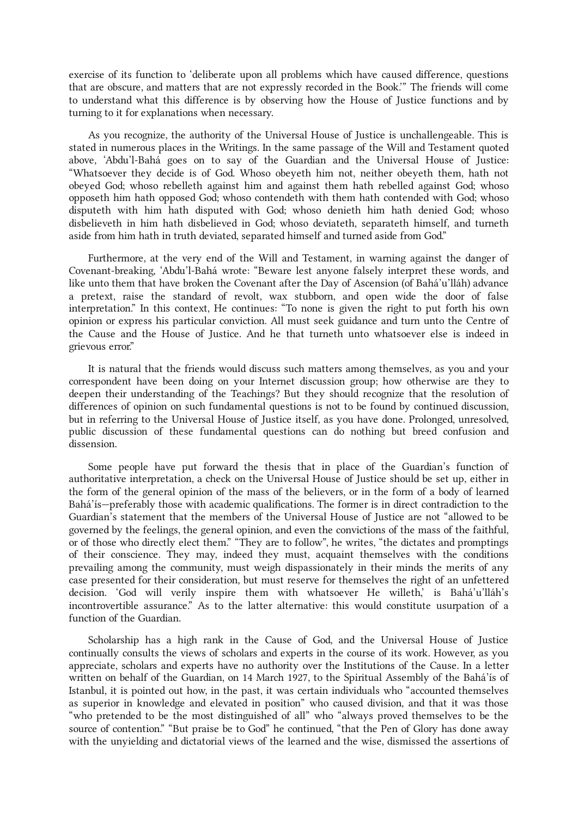exercise of its function to 'deliberate upon all problems which have caused difference, questions that are obscure, and matters that are not expressly recorded in the Book.'" The friends will come to understand what this difference is by observing how the House of Justice functions and by turning to it for explanations when necessary.

As you recognize, the authority of the Universal House of Justice is unchallengeable. This is stated in numerous places in the Writings. In the same passage of the Will and Testament quoted above, 'Abdu'l-Bahá goes on to say of the Guardian and the Universal House of Justice: "Whatsoever they decide is of God. Whoso obeyeth him not, neither obeyeth them, hath not obeyed God; whoso rebelleth against him and against them hath rebelled against God; whoso opposeth him hath opposed God; whoso contendeth with them hath contended with God; whoso disputeth with him hath disputed with God; whoso denieth him hath denied God; whoso disbelieveth in him hath disbelieved in God; whoso deviateth, separateth himself, and turneth aside from him hath in truth deviated, separated himself and turned aside from God."

Furthermore, at the very end of the Will and Testament, in warning against the danger of Covenant-breaking, 'Abdu'l-Bahá wrote: "Beware lest anyone falsely interpret these words, and like unto them that have broken the Covenant after the Day of Ascension (of Bahá'u'lláh) advance a pretext, raise the standard of revolt, wax stubborn, and open wide the door of false interpretation." In this context, He continues: "To none is given the right to put forth his own opinion or express his particular conviction. All must seek guidance and turn unto the Centre of the Cause and the House of Justice. And he that turneth unto whatsoever else is indeed in grievous error."

It is natural that the friends would discuss such matters among themselves, as you and your correspondent have been doing on your Internet discussion group; how otherwise are they to deepen their understanding of the Teachings? But they should recognize that the resolution of differences of opinion on such fundamental questions is not to be found by continued discussion, but in referring to the Universal House of Justice itself, as you have done. Prolonged, unresolved, public discussion of these fundamental questions can do nothing but breed confusion and dissension.

Some people have put forward the thesis that in place of the Guardian's function of authoritative interpretation, a check on the Universal House of Justice should be set up, either in the form of the general opinion of the mass of the believers, or in the form of a body of learned Bahá'ís—preferably those with academic qualifications. The former is in direct contradiction to the Guardian's statement that the members of the Universal House of Justice are not "allowed to be governed by the feelings, the general opinion, and even the convictions of the mass of the faithful, or of those who directly elect them." "They are to follow", he writes, "the dictates and promptings of their conscience. They may, indeed they must, acquaint themselves with the conditions prevailing among the community, must weigh dispassionately in their minds the merits of any case presented for their consideration, but must reserve for themselves the right of an unfettered decision. 'God will verily inspire them with whatsoever He willeth,' is Bahá'u'lláh's incontrovertible assurance." As to the latter alternative: this would constitute usurpation of a function of the Guardian.

Scholarship has a high rank in the Cause of God, and the Universal House of Justice continually consults the views of scholars and experts in the course of its work. However, as you appreciate, scholars and experts have no authority over the Institutions of the Cause. In a letter written on behalf of the Guardian, on 14 March 1927, to the Spiritual Assembly of the Bahá'ís of Istanbul, it is pointed out how, in the past, it was certain individuals who "accounted themselves as superior in knowledge and elevated in position" who caused division, and that it was those "who pretended to be the most distinguished of all" who "always proved themselves to be the source of contention." "But praise be to God" he continued, "that the Pen of Glory has done away with the unyielding and dictatorial views of the learned and the wise, dismissed the assertions of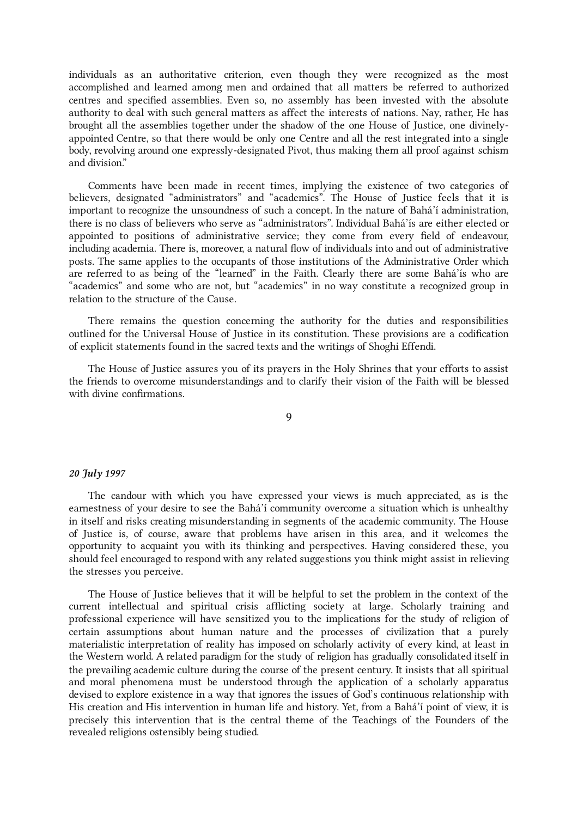individuals as an authoritative criterion, even though they were recognized as the most accomplished and learned among men and ordained that all matters be referred to authorized centres and specified assemblies. Even so, no assembly has been invested with the absolute authority to deal with such general matters as affect the interests of nations. Nay, rather, He has brought all the assemblies together under the shadow of the one House of Justice, one divinelyappointed Centre, so that there would be only one Centre and all the rest integrated into a single body, revolving around one expressly-designated Pivot, thus making them all proof against schism and division."

Comments have been made in recent times, implying the existence of two categories of believers, designated "administrators" and "academics". The House of Justice feels that it is important to recognize the unsoundness of such a concept. In the nature of Bahá'í administration, there is no class of believers who serve as "administrators". Individual Bahá'ís are either elected or appointed to positions of administrative service; they come from every field of endeavour, including academia. There is, moreover, a natural flow of individuals into and out of administrative posts. The same applies to the occupants of those institutions of the Administrative Order which are referred to as being of the "learned" in the Faith. Clearly there are some Bahá'ís who are "academics" and some who are not, but "academics" in no way constitute a recognized group in relation to the structure of the Cause.

There remains the question concerning the authority for the duties and responsibilities outlined for the Universal House of Justice in its constitution. These provisions are a codification of explicit statements found in the sacred texts and the writings of Shoghi Effendi.

The House of Justice assures you of its prayers in the Holy Shrines that your efforts to assist the friends to overcome misunderstandings and to clarify their vision of the Faith will be blessed with divine confirmations.

9

#### 20 July 1997

The candour with which you have expressed your views is much appreciated, as is the earnestness of your desire to see the Bahá'í community overcome a situation which is unhealthy in itself and risks creating misunderstanding in segments of the academic community. The House of Justice is, of course, aware that problems have arisen in this area, and it welcomes the opportunity to acquaint you with its thinking and perspectives. Having considered these, you should feel encouraged to respond with any related suggestions you think might assist in relieving the stresses you perceive.

The House of Justice believes that it will be helpful to set the problem in the context of the current intellectual and spiritual crisis afflicting society at large. Scholarly training and professional experience will have sensitized you to the implications for the study of religion of certain assumptions about human nature and the processes of civilization that a purely materialistic interpretation of reality has imposed on scholarly activity of every kind, at least in the Western world. A related paradigm for the study of religion has gradually consolidated itself in the prevailing academic culture during the course of the present century. It insists that all spiritual and moral phenomena must be understood through the application of a scholarly apparatus devised to explore existence in a way that ignores the issues of God's continuous relationship with His creation and His intervention in human life and history. Yet, from a Bahá'í point of view, it is precisely this intervention that is the central theme of the Teachings of the Founders of the revealed religions ostensibly being studied.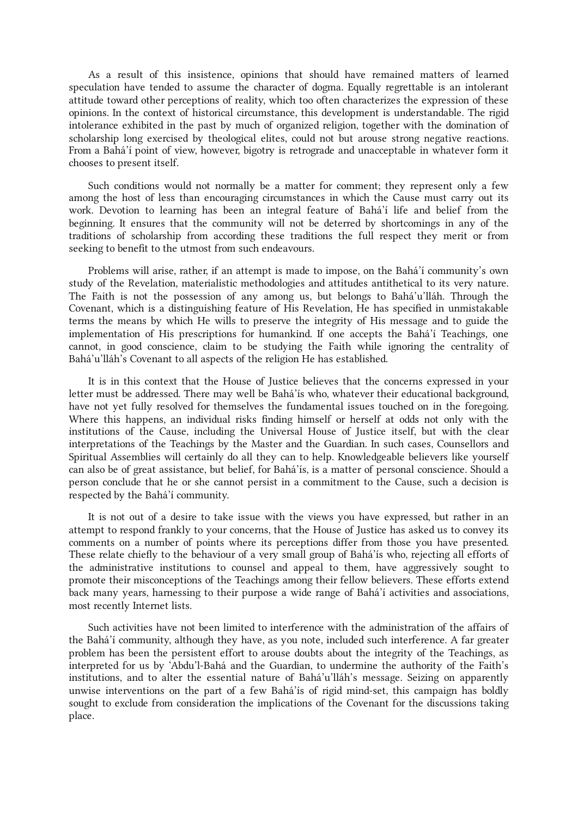As a result of this insistence, opinions that should have remained matters of learned speculation have tended to assume the character of dogma. Equally regrettable is an intolerant attitude toward other perceptions of reality, which too often characterizes the expression of these opinions. In the context of historical circumstance, this development is understandable. The rigid intolerance exhibited in the past by much of organized religion, together with the domination of scholarship long exercised by theological elites, could not but arouse strong negative reactions. From a Bahá'í point of view, however, bigotry is retrograde and unacceptable in whatever form it chooses to present itself.

Such conditions would not normally be a matter for comment; they represent only a few among the host of less than encouraging circumstances in which the Cause must carry out its work. Devotion to learning has been an integral feature of Bahá'í life and belief from the beginning. It ensures that the community will not be deterred by shortcomings in any of the traditions of scholarship from according these traditions the full respect they merit or from seeking to benefit to the utmost from such endeavours.

Problems will arise, rather, if an attempt is made to impose, on the Bahá'í community's own study of the Revelation, materialistic methodologies and attitudes antithetical to its very nature. The Faith is not the possession of any among us, but belongs to Bahá'u'lláh. Through the Covenant, which is a distinguishing feature of His Revelation, He has specified in unmistakable terms the means by which He wills to preserve the integrity of His message and to guide the implementation of His prescriptions for humankind. If one accepts the Bahá'í Teachings, one cannot, in good conscience, claim to be studying the Faith while ignoring the centrality of Bahá'u'lláh's Covenant to all aspects of the religion He has established.

It is in this context that the House of Justice believes that the concerns expressed in your letter must be addressed. There may well be Bahá'ís who, whatever their educational background, have not yet fully resolved for themselves the fundamental issues touched on in the foregoing. Where this happens, an individual risks finding himself or herself at odds not only with the institutions of the Cause, including the Universal House of Justice itself, but with the clear interpretations of the Teachings by the Master and the Guardian. In such cases, Counsellors and Spiritual Assemblies will certainly do all they can to help. Knowledgeable believers like yourself can also be of great assistance, but belief, for Bahá'ís, is a matter of personal conscience. Should a person conclude that he or she cannot persist in a commitment to the Cause, such a decision is respected by the Bahá'í community.

It is not out of a desire to take issue with the views you have expressed, but rather in an attempt to respond frankly to your concerns, that the House of Justice has asked us to convey its comments on a number of points where its perceptions differ from those you have presented. These relate chiefly to the behaviour of a very small group of Bahá'ís who, rejecting all efforts of the administrative institutions to counsel and appeal to them, have aggressively sought to promote their misconceptions of the Teachings among their fellow believers. These efforts extend back many years, harnessing to their purpose a wide range of Bahá'í activities and associations, most recently Internet lists.

Such activities have not been limited to interference with the administration of the affairs of the Bahá'í community, although they have, as you note, included such interference. A far greater problem has been the persistent effort to arouse doubts about the integrity of the Teachings, as interpreted for us by 'Abdu'l-Bahá and the Guardian, to undermine the authority of the Faith's institutions, and to alter the essential nature of Bahá'u'lláh's message. Seizing on apparently unwise interventions on the part of a few Bahá'ís of rigid mind-set, this campaign has boldly sought to exclude from consideration the implications of the Covenant for the discussions taking place.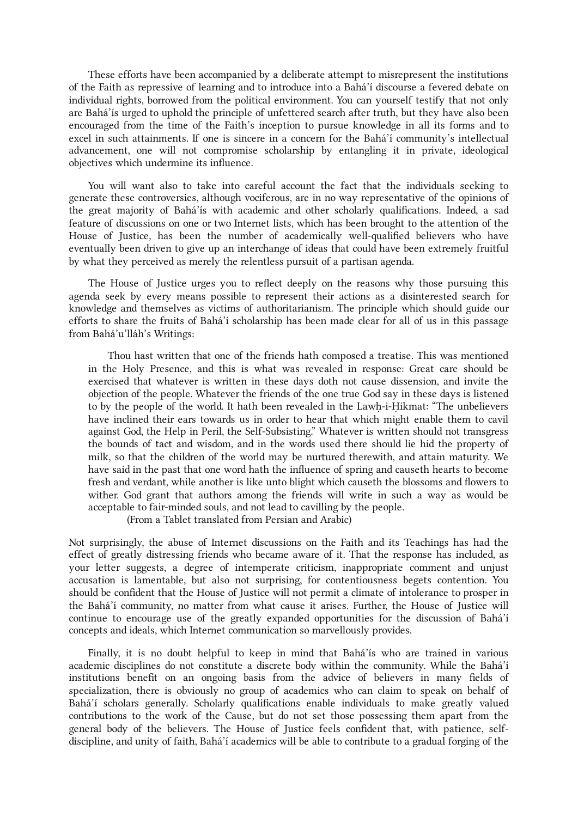These efforts have been accompanied by a deliberate attempt to misrepresent the institutions of the Faith as repressive of learning and to introduce into a Bahá'í discourse a fevered debate on individual rights, borrowed from the political environment. You can yourself testify that not only are Bahá'ís urged to uphold the principle of unfettered search after truth, but they have also been encouraged from the time of the Faith's inception to pursue knowledge in all its forms and to excel in such attainments. If one is sincere in a concern for the Bahá'í community's intellectual advancement, one will not compromise scholarship by entangling it in private, ideological objectives which undermine its influence.

You will want also to take into careful account the fact that the individuals seeking to generate these controversies, although vociferous, are in no way representative of the opinions of the great majority of Bahá'ís with academic and other scholarly qualifications. Indeed, a sad feature of discussions on one or two Internet lists, which has been brought to the attention of the House of Justice, has been the number of academically well-qualified believers who have eventually been driven to give up an interchange of ideas that could have been extremely fruitful by what they perceived as merely the relentless pursuit of a partisan agenda.

The House of Justice urges you to reflect deeply on the reasons why those pursuing this agenda seek by every means possible to represent their actions as a disinterested search for knowledge and themselves as victims of authoritarianism. The principle which should guide our efforts to share the fruits of Bahá'í scholarship has been made clear for all of us in this passage from Bahá'u'lláh's Writings:

Thou hast written that one of the friends hath composed a treatise. This was mentioned in the Holy Presence, and this is what was revealed in response: Great care should be exercised that whatever is written in these days doth not cause dissension, and invite the objection of the people. Whatever the friends of the one true God say in these days is listened to by the people of the world. It hath been revealed in the Lawḥ-i-Ḥikmat: "The unbelievers have inclined their ears towards us in order to hear that which might enable them to cavil against God, the Help in Peril, the Self-Subsisting." Whatever is written should not transgress the bounds of tact and wisdom, and in the words used there should lie hid the property of milk, so that the children of the world may be nurtured therewith, and attain maturity. We have said in the past that one word hath the influence of spring and causeth hearts to become fresh and verdant, while another is like unto blight which causeth the blossoms and flowers to wither. God grant that authors among the friends will write in such a way as would be acceptable to fair-minded souls, and not lead to cavilling by the people.

(From a Tablet translated from Persian and Arabic)

Not surprisingly, the abuse of Internet discussions on the Faith and its Teachings has had the effect of greatly distressing friends who became aware of it. That the response has included, as your letter suggests, a degree of intemperate criticism, inappropriate comment and unjust accusation is lamentable, but also not surprising, for contentiousness begets contention. You should be confident that the House of Justice will not permit a climate of intolerance to prosper in the Bahá'í community, no matter from what cause it arises. Further, the House of Justice will continue to encourage use of the greatly expanded opportunities for the discussion of Bahá'í concepts and ideals, which Internet communication so marvellously provides.

Finally, it is no doubt helpful to keep in mind that Bahá'ís who are trained in various academic disciplines do not constitute a discrete body within the community. While the Bahá'í institutions benefit on an ongoing basis from the advice of believers in many fields of specialization, there is obviously no group of academics who can claim to speak on behalf of Bahá'í scholars generally. Scholarly qualifications enable individuals to make greatly valued contributions to the work of the Cause, but do not set those possessing them apart from the general body of the believers. The House of Justice feels confident that, with patience, selfdiscipline, and unity of faith, Bahá'í academics will be able to contribute to a gradual forging of the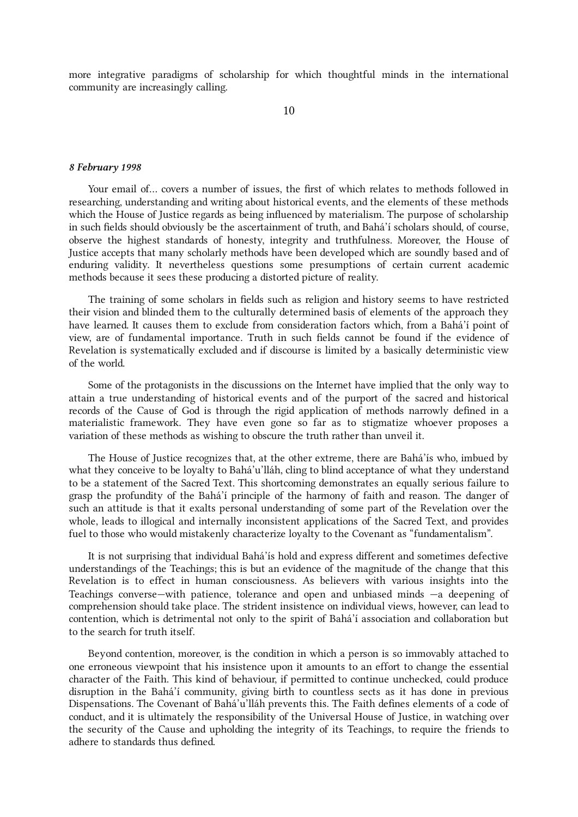more integrative paradigms of scholarship for which thoughtful minds in the international community are increasingly calling.

## 8 February 1998

Your email of… covers a number of issues, the first of which relates to methods followed in researching, understanding and writing about historical events, and the elements of these methods which the House of Justice regards as being influenced by materialism. The purpose of scholarship in such fields should obviously be the ascertainment of truth, and Bahá'í scholars should, of course, observe the highest standards of honesty, integrity and truthfulness. Moreover, the House of Justice accepts that many scholarly methods have been developed which are soundly based and of enduring validity. It nevertheless questions some presumptions of certain current academic methods because it sees these producing a distorted picture of reality.

The training of some scholars in fields such as religion and history seems to have restricted their vision and blinded them to the culturally determined basis of elements of the approach they have learned. It causes them to exclude from consideration factors which, from a Bahá'í point of view, are of fundamental importance. Truth in such fields cannot be found if the evidence of Revelation is systematically excluded and if discourse is limited by a basically deterministic view of the world.

Some of the protagonists in the discussions on the Internet have implied that the only way to attain a true understanding of historical events and of the purport of the sacred and historical records of the Cause of God is through the rigid application of methods narrowly defined in a materialistic framework. They have even gone so far as to stigmatize whoever proposes a variation of these methods as wishing to obscure the truth rather than unveil it.

The House of Justice recognizes that, at the other extreme, there are Bahá'ís who, imbued by what they conceive to be loyalty to Bahá'u'lláh, cling to blind acceptance of what they understand to be a statement of the Sacred Text. This shortcoming demonstrates an equally serious failure to grasp the profundity of the Bahá'í principle of the harmony of faith and reason. The danger of such an attitude is that it exalts personal understanding of some part of the Revelation over the whole, leads to illogical and internally inconsistent applications of the Sacred Text, and provides fuel to those who would mistakenly characterize loyalty to the Covenant as "fundamentalism".

It is not surprising that individual Bahá'ís hold and express different and sometimes defective understandings of the Teachings; this is but an evidence of the magnitude of the change that this Revelation is to effect in human consciousness. As believers with various insights into the Teachings converse—with patience, tolerance and open and unbiased minds —a deepening of comprehension should take place. The strident insistence on individual views, however, can lead to contention, which is detrimental not only to the spirit of Bahá'í association and collaboration but to the search for truth itself.

Beyond contention, moreover, is the condition in which a person is so immovably attached to one erroneous viewpoint that his insistence upon it amounts to an effort to change the essential character of the Faith. This kind of behaviour, if permitted to continue unchecked, could produce disruption in the Bahá'í community, giving birth to countless sects as it has done in previous Dispensations. The Covenant of Bahá'u'lláh prevents this. The Faith defines elements of a code of conduct, and it is ultimately the responsibility of the Universal House of Justice, in watching over the security of the Cause and upholding the integrity of its Teachings, to require the friends to adhere to standards thus defined.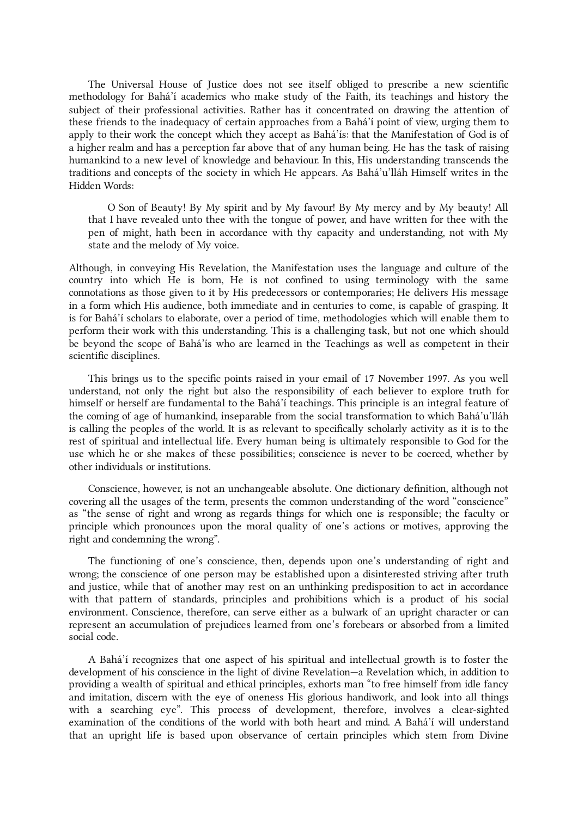The Universal House of Justice does not see itself obliged to prescribe a new scientific methodology for Bahá'í academics who make study of the Faith, its teachings and history the subject of their professional activities. Rather has it concentrated on drawing the attention of these friends to the inadequacy of certain approaches from a Bahá'í point of view, urging them to apply to their work the concept which they accept as Bahá'ís: that the Manifestation of God is of a higher realm and has a perception far above that of any human being. He has the task of raising humankind to a new level of knowledge and behaviour. In this, His understanding transcends the traditions and concepts of the society in which He appears. As Bahá'u'lláh Himself writes in the Hidden Words:

O Son of Beauty! By My spirit and by My favour! By My mercy and by My beauty! All that I have revealed unto thee with the tongue of power, and have written for thee with the pen of might, hath been in accordance with thy capacity and understanding, not with My state and the melody of My voice.

Although, in conveying His Revelation, the Manifestation uses the language and culture of the country into which He is born, He is not confined to using terminology with the same connotations as those given to it by His predecessors or contemporaries; He delivers His message in a form which His audience, both immediate and in centuries to come, is capable of grasping. It is for Bahá'í scholars to elaborate, over a period of time, methodologies which will enable them to perform their work with this understanding. This is a challenging task, but not one which should be beyond the scope of Bahá'ís who are learned in the Teachings as well as competent in their scientific disciplines.

This brings us to the specific points raised in your email of 17 November 1997. As you well understand, not only the right but also the responsibility of each believer to explore truth for himself or herself are fundamental to the Bahá'í teachings. This principle is an integral feature of the coming of age of humankind, inseparable from the social transformation to which Bahá'u'lláh is calling the peoples of the world. It is as relevant to specifically scholarly activity as it is to the rest of spiritual and intellectual life. Every human being is ultimately responsible to God for the use which he or she makes of these possibilities; conscience is never to be coerced, whether by other individuals or institutions.

Conscience, however, is not an unchangeable absolute. One dictionary definition, although not covering all the usages of the term, presents the common understanding of the word "conscience" as "the sense of right and wrong as regards things for which one is responsible; the faculty or principle which pronounces upon the moral quality of one's actions or motives, approving the right and condemning the wrong".

The functioning of one's conscience, then, depends upon one's understanding of right and wrong; the conscience of one person may be established upon a disinterested striving after truth and justice, while that of another may rest on an unthinking predisposition to act in accordance with that pattern of standards, principles and prohibitions which is a product of his social environment. Conscience, therefore, can serve either as a bulwark of an upright character or can represent an accumulation of prejudices learned from one's forebears or absorbed from a limited social code.

A Bahá'í recognizes that one aspect of his spiritual and intellectual growth is to foster the development of his conscience in the light of divine Revelation—a Revelation which, in addition to providing a wealth of spiritual and ethical principles, exhorts man "to free himself from idle fancy and imitation, discern with the eye of oneness His glorious handiwork, and look into all things with a searching eye". This process of development, therefore, involves a clear-sighted examination of the conditions of the world with both heart and mind. A Bahá'í will understand that an upright life is based upon observance of certain principles which stem from Divine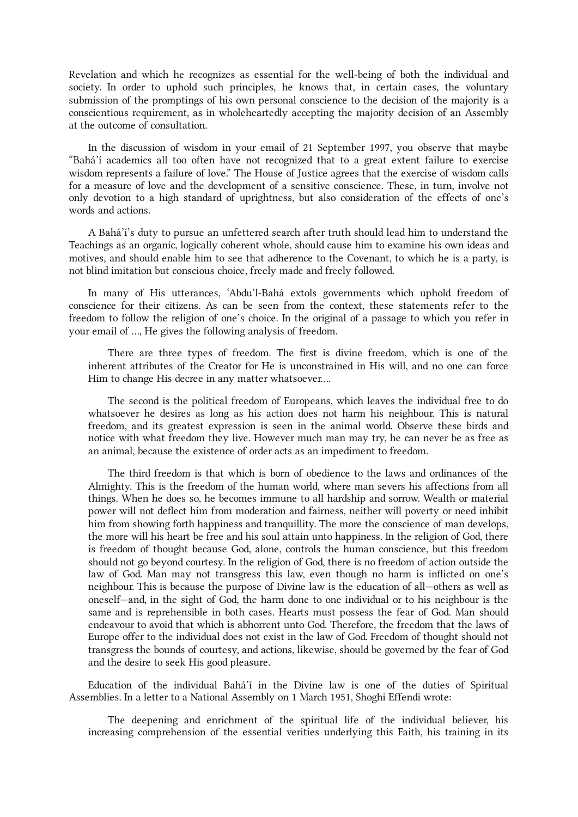Revelation and which he recognizes as essential for the well-being of both the individual and society. In order to uphold such principles, he knows that, in certain cases, the voluntary submission of the promptings of his own personal conscience to the decision of the majority is a conscientious requirement, as in wholeheartedly accepting the majority decision of an Assembly at the outcome of consultation.

In the discussion of wisdom in your email of 21 September 1997, you observe that maybe "Bahá'í academics all too often have not recognized that to a great extent failure to exercise wisdom represents a failure of love." The House of Justice agrees that the exercise of wisdom calls for a measure of love and the development of a sensitive conscience. These, in turn, involve not only devotion to a high standard of uprightness, but also consideration of the effects of one's words and actions.

A Bahá'í's duty to pursue an unfettered search after truth should lead him to understand the Teachings as an organic, logically coherent whole, should cause him to examine his own ideas and motives, and should enable him to see that adherence to the Covenant, to which he is a party, is not blind imitation but conscious choice, freely made and freely followed.

In many of His utterances, 'Abdu'l-Bahá extols governments which uphold freedom of conscience for their citizens. As can be seen from the context, these statements refer to the freedom to follow the religion of one's choice. In the original of a passage to which you refer in your email of …, He gives the following analysis of freedom.

There are three types of freedom. The first is divine freedom, which is one of the inherent attributes of the Creator for He is unconstrained in His will, and no one can force Him to change His decree in any matter whatsoever....

The second is the political freedom of Europeans, which leaves the individual free to do whatsoever he desires as long as his action does not harm his neighbour. This is natural freedom, and its greatest expression is seen in the animal world. Observe these birds and notice with what freedom they live. However much man may try, he can never be as free as an animal, because the existence of order acts as an impediment to freedom.

The third freedom is that which is born of obedience to the laws and ordinances of the Almighty. This is the freedom of the human world, where man severs his affections from all things. When he does so, he becomes immune to all hardship and sorrow. Wealth or material power will not deflect him from moderation and fairness, neither will poverty or need inhibit him from showing forth happiness and tranquillity. The more the conscience of man develops, the more will his heart be free and his soul attain unto happiness. In the religion of God, there is freedom of thought because God, alone, controls the human conscience, but this freedom should not go beyond courtesy. In the religion of God, there is no freedom of action outside the law of God. Man may not transgress this law, even though no harm is inflicted on one's neighbour. This is because the purpose of Divine law is the education of all—others as well as oneself—and, in the sight of God, the harm done to one individual or to his neighbour is the same and is reprehensible in both cases. Hearts must possess the fear of God. Man should endeavour to avoid that which is abhorrent unto God. Therefore, the freedom that the laws of Europe offer to the individual does not exist in the law of God. Freedom of thought should not transgress the bounds of courtesy, and actions, likewise, should be governed by the fear of God and the desire to seek His good pleasure.

Education of the individual Bahá'í in the Divine law is one of the duties of Spiritual Assemblies. In a letter to a National Assembly on 1 March 1951, Shoghi Effendi wrote:

The deepening and enrichment of the spiritual life of the individual believer, his increasing comprehension of the essential verities underlying this Faith, his training in its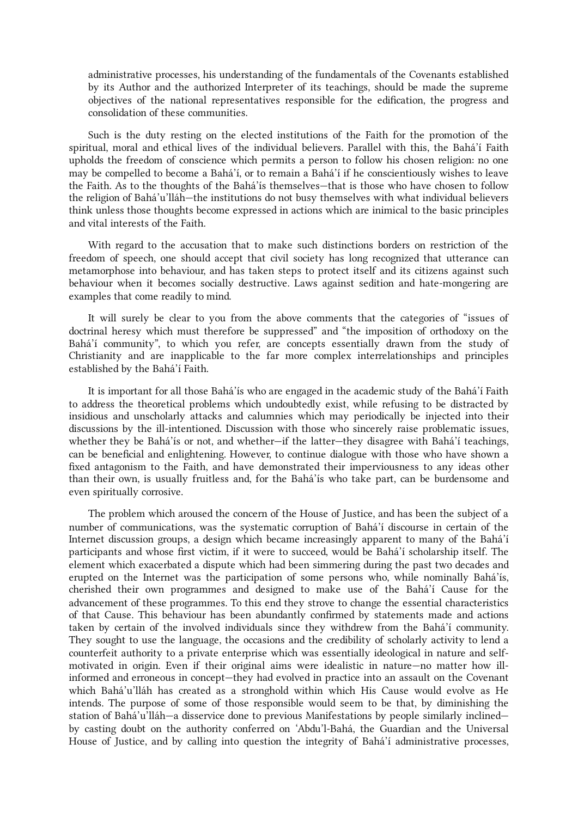administrative processes, his understanding of the fundamentals of the Covenants established by its Author and the authorized Interpreter of its teachings, should be made the supreme objectives of the national representatives responsible for the edification, the progress and consolidation of these communities.

Such is the duty resting on the elected institutions of the Faith for the promotion of the spiritual, moral and ethical lives of the individual believers. Parallel with this, the Bahá'í Faith upholds the freedom of conscience which permits a person to follow his chosen religion: no one may be compelled to become a Bahá'í, or to remain a Bahá'í if he conscientiously wishes to leave the Faith. As to the thoughts of the Bahá'ís themselves—that is those who have chosen to follow the religion of Bahá'u'lláh—the institutions do not busy themselves with what individual believers think unless those thoughts become expressed in actions which are inimical to the basic principles and vital interests of the Faith.

With regard to the accusation that to make such distinctions borders on restriction of the freedom of speech, one should accept that civil society has long recognized that utterance can metamorphose into behaviour, and has taken steps to protect itself and its citizens against such behaviour when it becomes socially destructive. Laws against sedition and hate-mongering are examples that come readily to mind.

It will surely be clear to you from the above comments that the categories of "issues of doctrinal heresy which must therefore be suppressed" and "the imposition of orthodoxy on the Bahá'í community", to which you refer, are concepts essentially drawn from the study of Christianity and are inapplicable to the far more complex interrelationships and principles established by the Bahá'í Faith.

It is important for all those Bahá'ís who are engaged in the academic study of the Bahá'í Faith to address the theoretical problems which undoubtedly exist, while refusing to be distracted by insidious and unscholarly attacks and calumnies which may periodically be injected into their discussions by the ill-intentioned. Discussion with those who sincerely raise problematic issues, whether they be Bahá'ís or not, and whether—if the latter—they disagree with Bahá'í teachings, can be beneficial and enlightening. However, to continue dialogue with those who have shown a fixed antagonism to the Faith, and have demonstrated their imperviousness to any ideas other than their own, is usually fruitless and, for the Bahá'ís who take part, can be burdensome and even spiritually corrosive.

The problem which aroused the concern of the House of Justice, and has been the subject of a number of communications, was the systematic corruption of Bahá'í discourse in certain of the Internet discussion groups, a design which became increasingly apparent to many of the Bahá'í participants and whose first victim, if it were to succeed, would be Bahá'í scholarship itself. The element which exacerbated a dispute which had been simmering during the past two decades and erupted on the Internet was the participation of some persons who, while nominally Bahá'ís, cherished their own programmes and designed to make use of the Bahá'í Cause for the advancement of these programmes. To this end they strove to change the essential characteristics of that Cause. This behaviour has been abundantly confirmed by statements made and actions taken by certain of the involved individuals since they withdrew from the Bahá'í community. They sought to use the language, the occasions and the credibility of scholarly activity to lend a counterfeit authority to a private enterprise which was essentially ideological in nature and selfmotivated in origin. Even if their original aims were idealistic in nature—no matter how illinformed and erroneous in concept—they had evolved in practice into an assault on the Covenant which Bahá'u'lláh has created as a stronghold within which His Cause would evolve as He intends. The purpose of some of those responsible would seem to be that, by diminishing the station of Bahá'u'lláh—a disservice done to previous Manifestations by people similarly inclined by casting doubt on the authority conferred on 'Abdu'l-Bahá, the Guardian and the Universal House of Justice, and by calling into question the integrity of Bahá'í administrative processes,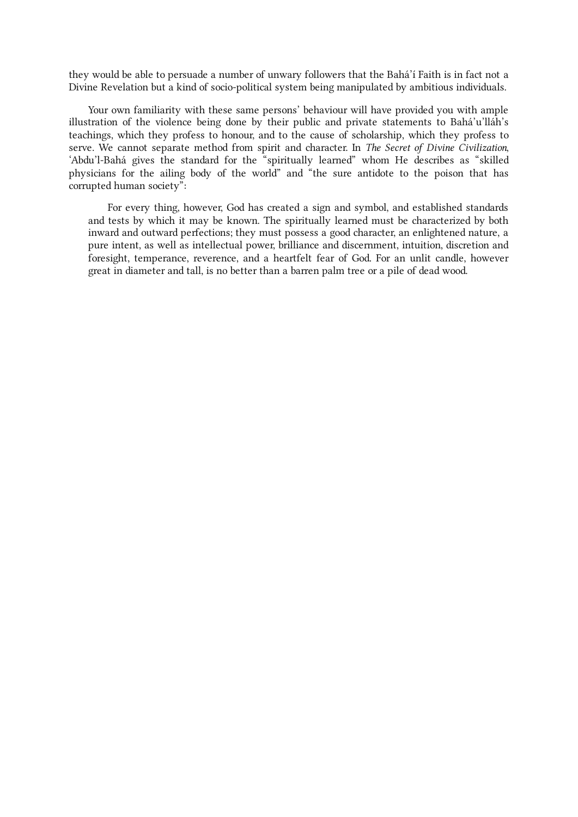they would be able to persuade a number of unwary followers that the Bahá'í Faith is in fact not a Divine Revelation but a kind of socio-political system being manipulated by ambitious individuals.

Your own familiarity with these same persons' behaviour will have provided you with ample illustration of the violence being done by their public and private statements to Bahá'u'lláh's teachings, which they profess to honour, and to the cause of scholarship, which they profess to serve. We cannot separate method from spirit and character. In The Secret of Divine Civilization, 'Abdu'l-Bahá gives the standard for the "spiritually learned" whom He describes as "skilled physicians for the ailing body of the world" and "the sure antidote to the poison that has corrupted human society":

For every thing, however, God has created a sign and symbol, and established standards and tests by which it may be known. The spiritually learned must be characterized by both inward and outward perfections; they must possess a good character, an enlightened nature, a pure intent, as well as intellectual power, brilliance and discernment, intuition, discretion and foresight, temperance, reverence, and a heartfelt fear of God. For an unlit candle, however great in diameter and tall, is no better than a barren palm tree or a pile of dead wood.